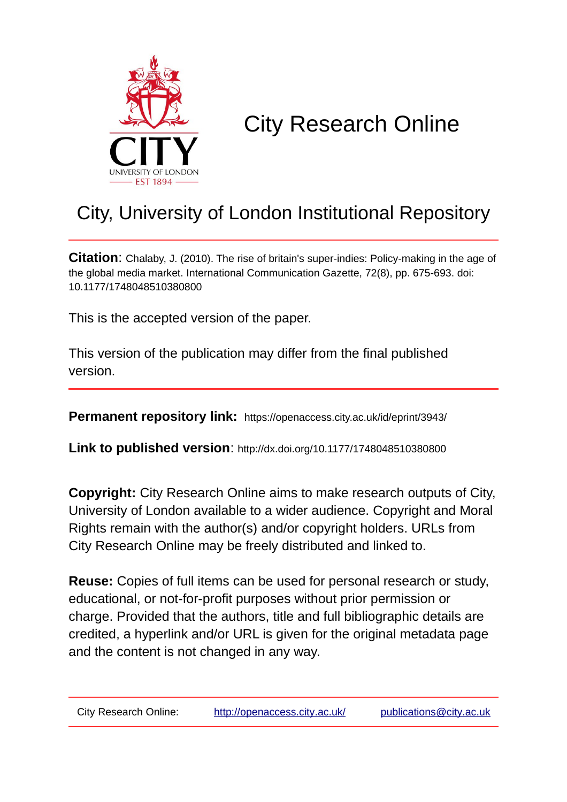

# City Research Online

## City, University of London Institutional Repository

**Citation**: Chalaby, J. (2010). The rise of britain's super-indies: Policy-making in the age of the global media market. International Communication Gazette, 72(8), pp. 675-693. doi: 10.1177/1748048510380800

This is the accepted version of the paper.

This version of the publication may differ from the final published version.

**Permanent repository link:** https://openaccess.city.ac.uk/id/eprint/3943/

**Link to published version**: http://dx.doi.org/10.1177/1748048510380800

**Copyright:** City Research Online aims to make research outputs of City, University of London available to a wider audience. Copyright and Moral Rights remain with the author(s) and/or copyright holders. URLs from City Research Online may be freely distributed and linked to.

**Reuse:** Copies of full items can be used for personal research or study, educational, or not-for-profit purposes without prior permission or charge. Provided that the authors, title and full bibliographic details are credited, a hyperlink and/or URL is given for the original metadata page and the content is not changed in any way.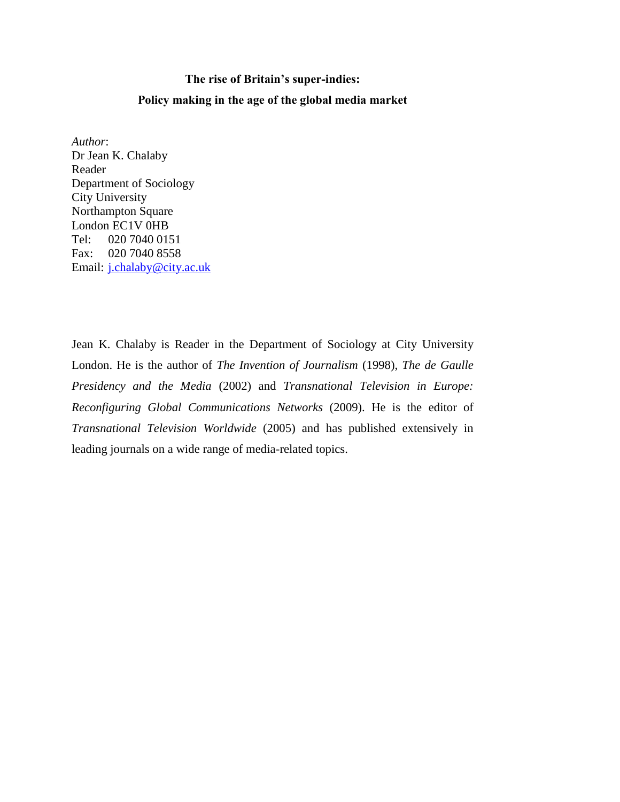#### **The rise of Britain's super-indies:**

#### **Policy making in the age of the global media market**

*Author*: Dr Jean K. Chalaby Reader Department of Sociology City University Northampton Square London EC1V 0HB Tel: 020 7040 0151 Fax: 020 7040 8558 Email: [j.chalaby@city.ac.uk](mailto:j.chalaby@city.ac.uk)

Jean K. Chalaby is Reader in the Department of Sociology at City University London. He is the author of *The Invention of Journalism* (1998), *The de Gaulle Presidency and the Media* (2002) and *Transnational Television in Europe: Reconfiguring Global Communications Networks* (2009). He is the editor of *Transnational Television Worldwide* (2005) and has published extensively in leading journals on a wide range of media-related topics.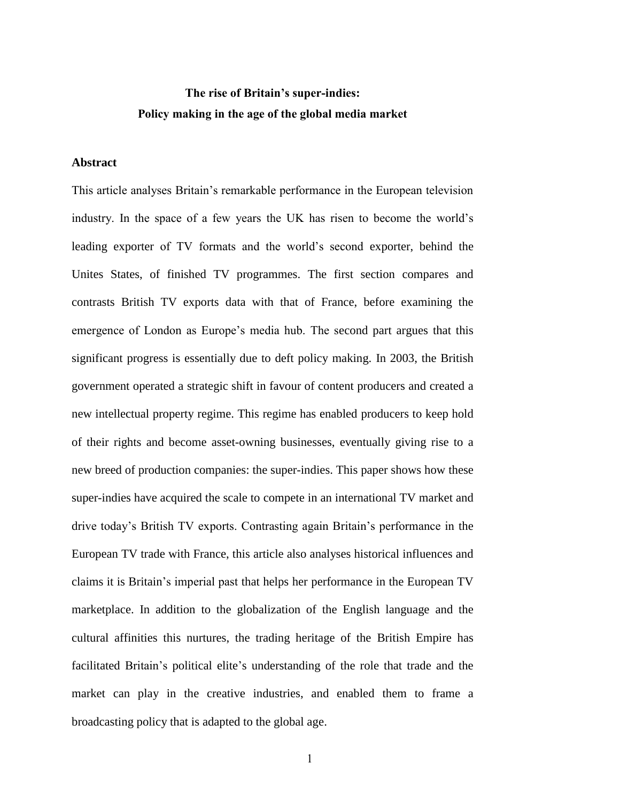## **The rise of Britain's super-indies: Policy making in the age of the global media market**

#### **Abstract**

This article analyses Britain's remarkable performance in the European television industry. In the space of a few years the UK has risen to become the world's leading exporter of TV formats and the world's second exporter, behind the Unites States, of finished TV programmes. The first section compares and contrasts British TV exports data with that of France, before examining the emergence of London as Europe's media hub. The second part argues that this significant progress is essentially due to deft policy making. In 2003, the British government operated a strategic shift in favour of content producers and created a new intellectual property regime. This regime has enabled producers to keep hold of their rights and become asset-owning businesses, eventually giving rise to a new breed of production companies: the super-indies. This paper shows how these super-indies have acquired the scale to compete in an international TV market and drive today's British TV exports. Contrasting again Britain's performance in the European TV trade with France, this article also analyses historical influences and claims it is Britain's imperial past that helps her performance in the European TV marketplace. In addition to the globalization of the English language and the cultural affinities this nurtures, the trading heritage of the British Empire has facilitated Britain's political elite's understanding of the role that trade and the market can play in the creative industries, and enabled them to frame a broadcasting policy that is adapted to the global age.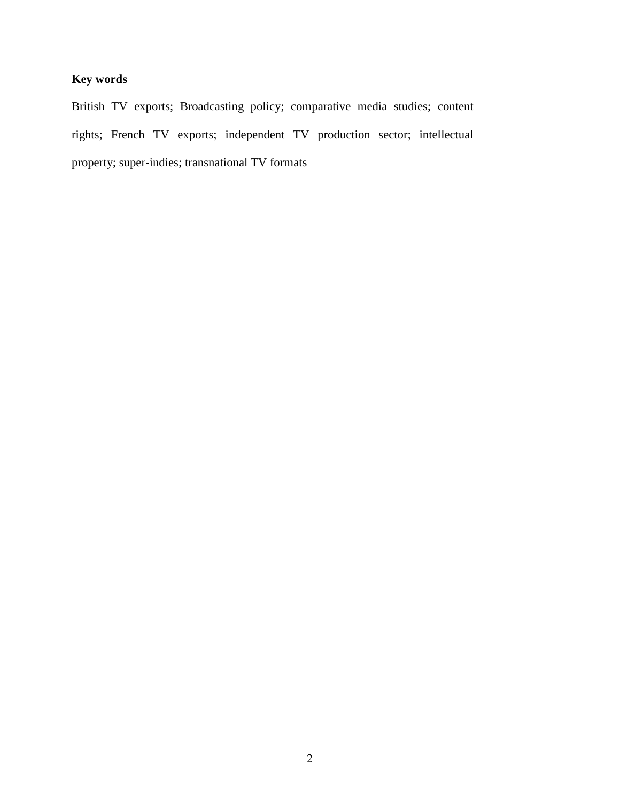### **Key words**

British TV exports; Broadcasting policy; comparative media studies; content rights; French TV exports; independent TV production sector; intellectual property; super-indies; transnational TV formats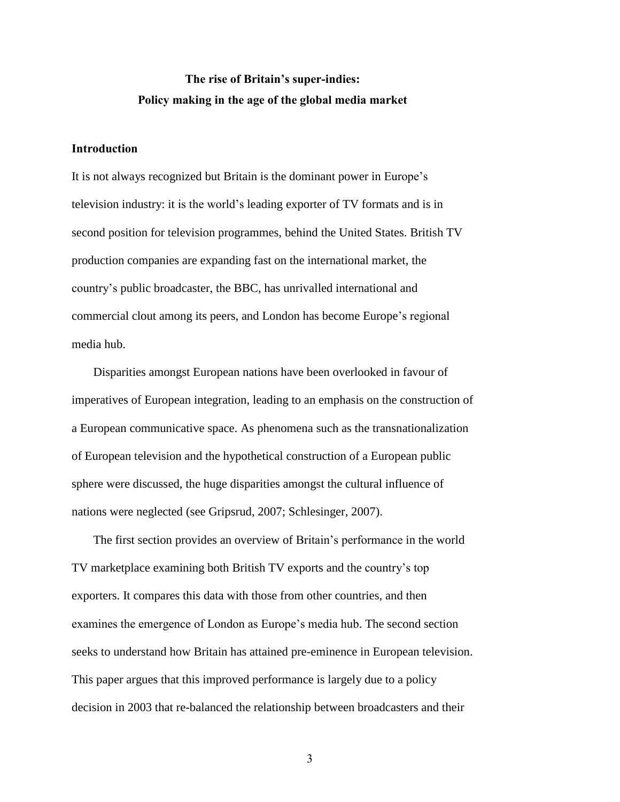## **The rise of Britain's super-indies: Policy making in the age of the global media market**

#### **Introduction**

It is not always recognized but Britain is the dominant power in Europe's television industry: it is the world's leading exporter of TV formats and is in second position for television programmes, behind the United States. British TV production companies are expanding fast on the international market, the country's public broadcaster, the BBC, has unrivalled international and commercial clout among its peers, and London has become Europe's regional media hub.

Disparities amongst European nations have been overlooked in favour of imperatives of European integration, leading to an emphasis on the construction of a European communicative space. As phenomena such as the transnationalization of European television and the hypothetical construction of a European public sphere were discussed, the huge disparities amongst the cultural influence of nations were neglected (see Gripsrud, 2007; Schlesinger, 2007).

The first section provides an overview of Britain's performance in the world TV marketplace examining both British TV exports and the country's top exporters. It compares this data with those from other countries, and then examines the emergence of London as Europe's media hub. The second section seeks to understand how Britain has attained pre-eminence in European television. This paper argues that this improved performance is largely due to a policy decision in 2003 that re-balanced the relationship between broadcasters and their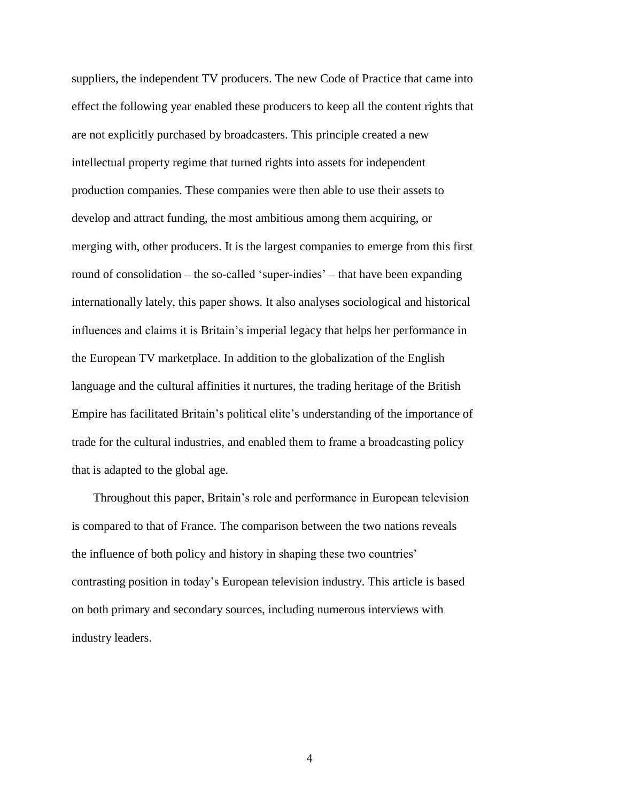suppliers, the independent TV producers. The new Code of Practice that came into effect the following year enabled these producers to keep all the content rights that are not explicitly purchased by broadcasters. This principle created a new intellectual property regime that turned rights into assets for independent production companies. These companies were then able to use their assets to develop and attract funding, the most ambitious among them acquiring, or merging with, other producers. It is the largest companies to emerge from this first round of consolidation – the so-called 'super-indies' – that have been expanding internationally lately, this paper shows. It also analyses sociological and historical influences and claims it is Britain's imperial legacy that helps her performance in the European TV marketplace. In addition to the globalization of the English language and the cultural affinities it nurtures, the trading heritage of the British Empire has facilitated Britain's political elite's understanding of the importance of trade for the cultural industries, and enabled them to frame a broadcasting policy that is adapted to the global age.

Throughout this paper, Britain's role and performance in European television is compared to that of France. The comparison between the two nations reveals the influence of both policy and history in shaping these two countries' contrasting position in today's European television industry. This article is based on both primary and secondary sources, including numerous interviews with industry leaders.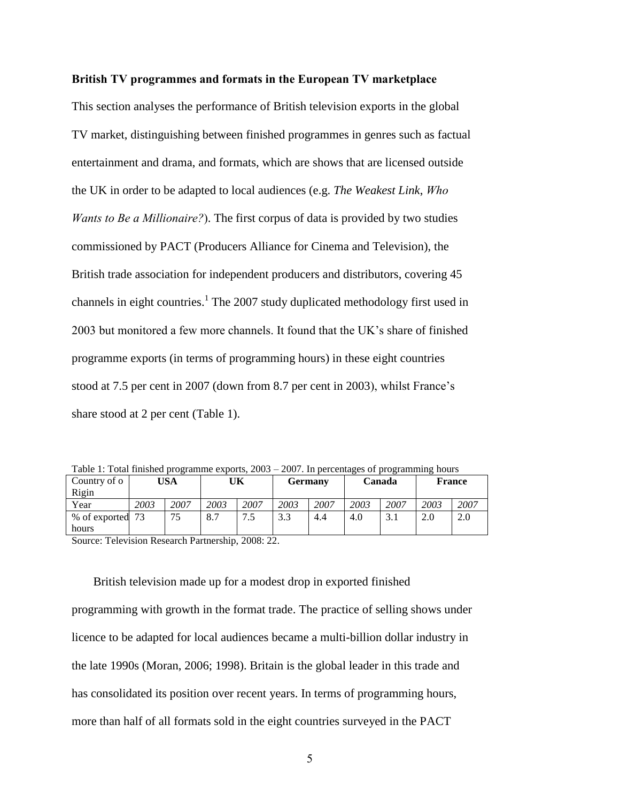#### **British TV programmes and formats in the European TV marketplace**

This section analyses the performance of British television exports in the global TV market, distinguishing between finished programmes in genres such as factual entertainment and drama, and formats, which are shows that are licensed outside the UK in order to be adapted to local audiences (e.g. *The Weakest Link*, *Who Wants to Be a Millionaire?*). The first corpus of data is provided by two studies commissioned by PACT (Producers Alliance for Cinema and Television), the British trade association for independent producers and distributors, covering 45 channels in eight countries.<sup>1</sup> The 2007 study duplicated methodology first used in 2003 but monitored a few more channels. It found that the UK's share of finished programme exports (in terms of programming hours) in these eight countries stood at 7.5 per cent in 2007 (down from 8.7 per cent in 2003), whilst France's share stood at 2 per cent (Table 1).

Table 1: Total finished programme exports, 2003 – 2007. In percentages of programming hours

| Country of o                                                |      | USA  |      | UK        |      | Germany |      | Canada |      | <b>France</b> |
|-------------------------------------------------------------|------|------|------|-----------|------|---------|------|--------|------|---------------|
| Rigin                                                       |      |      |      |           |      |         |      |        |      |               |
| Year                                                        | 2003 | 2007 | 2003 | 2007      | 2003 | 2007    | 2003 | 2007   | 2003 | 2007          |
| % of exported 73                                            |      | 75   | 8.7  | 75<br>ت - | 3.3  | 4.4     | 4.0  | 3.1    | 2.0  | 2.0           |
| hours                                                       |      |      |      |           |      |         |      |        |      |               |
| $\sim$<br>---<br>$\sim$ $\sim$ $\sim$<br>$\cdots$<br>$\sim$ |      |      |      |           |      |         |      |        |      |               |

Source: Television Research Partnership, 2008: 22.

British television made up for a modest drop in exported finished programming with growth in the format trade. The practice of selling shows under licence to be adapted for local audiences became a multi-billion dollar industry in the late 1990s (Moran, 2006; 1998). Britain is the global leader in this trade and has consolidated its position over recent years. In terms of programming hours, more than half of all formats sold in the eight countries surveyed in the PACT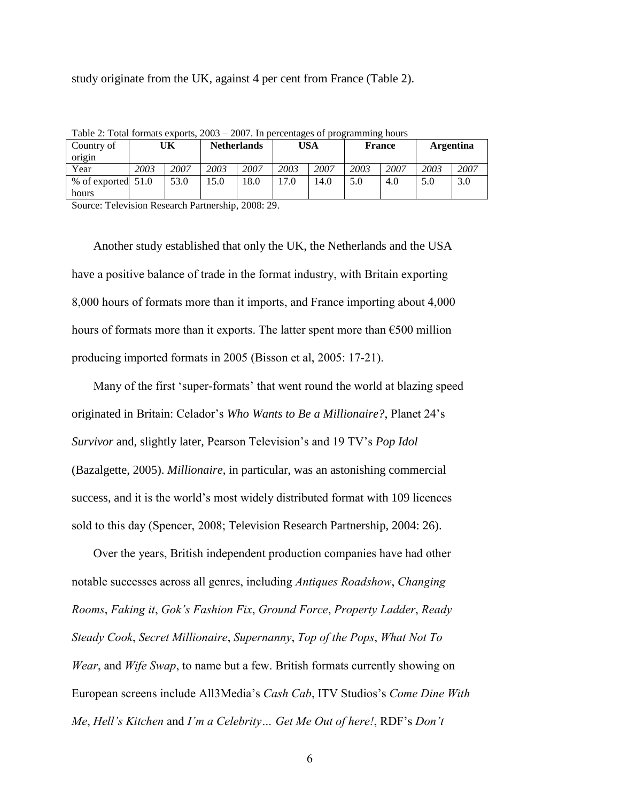study originate from the UK, against 4 per cent from France (Table 2).

| $10010 E$ , $100011000$<br>$2001$ , in percentages of programming nours |      |      |                    |      |            |      |               |      |           |      |
|-------------------------------------------------------------------------|------|------|--------------------|------|------------|------|---------------|------|-----------|------|
| Country of                                                              | UΚ   |      | <b>Netherlands</b> |      | <b>USA</b> |      | <b>France</b> |      | Argentina |      |
| origin                                                                  |      |      |                    |      |            |      |               |      |           |      |
| Year                                                                    | 2003 | 2007 | 2003               | 2007 | 2003       | 2007 | 2003          | 2007 | 2003      | 2007 |
| % of exported 51.0                                                      |      | 53.0 | 15.0               | 18.0 | 17.0       | 14.0 | 5.0           | 4.0  | 5.0       | 3.0  |
| hours                                                                   |      |      |                    |      |            |      |               |      |           |      |
| _____<br>-------                                                        |      |      |                    |      |            |      |               |      |           |      |

Table 2: Total formats exports, 2003 – 2007. In percentages of programming hours

Source: Television Research Partnership, 2008: 29.

Another study established that only the UK, the Netherlands and the USA have a positive balance of trade in the format industry, with Britain exporting 8,000 hours of formats more than it imports, and France importing about 4,000 hours of formats more than it exports. The latter spent more than  $\epsilon$ 500 million producing imported formats in 2005 (Bisson et al, 2005: 17-21).

Many of the first 'super-formats' that went round the world at blazing speed originated in Britain: Celador's *Who Wants to Be a Millionaire?*, Planet 24's *Survivor* and, slightly later, Pearson Television's and 19 TV's *Pop Idol* (Bazalgette, 2005). *Millionaire*, in particular, was an astonishing commercial success, and it is the world's most widely distributed format with 109 licences sold to this day (Spencer, 2008; Television Research Partnership, 2004: 26).

Over the years, British independent production companies have had other notable successes across all genres, including *Antiques Roadshow*, *Changing Rooms*, *Faking it*, *Gok's Fashion Fix*, *Ground Force*, *Property Ladder*, *Ready Steady Cook*, *Secret Millionaire*, *Supernanny*, *Top of the Pops*, *What Not To Wear*, and *Wife Swap*, to name but a few. British formats currently showing on European screens include All3Media's *Cash Cab*, ITV Studios's *Come Dine With Me*, *Hell's Kitchen* and *I'm a Celebrity… Get Me Out of here!*, RDF's *Don't*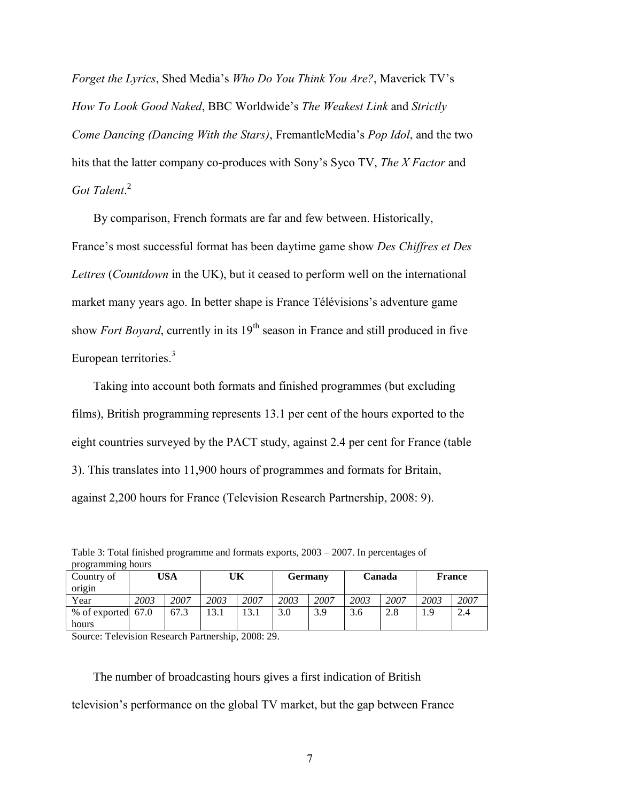*Forget the Lyrics*, Shed Media's *Who Do You Think You Are?*, Maverick TV's *How To Look Good Naked*, BBC Worldwide's *The Weakest Link* and *Strictly Come Dancing (Dancing With the Stars)*, FremantleMedia's *Pop Idol*, and the two hits that the latter company co-produces with Sony's Syco TV, *The X Factor* and *Got Talent*. 2

By comparison, French formats are far and few between. Historically, France's most successful format has been daytime game show *Des Chiffres et Des Lettres* (*Countdown* in the UK), but it ceased to perform well on the international market many years ago. In better shape is France Télévisions's adventure game show *Fort Boyard*, currently in its 19<sup>th</sup> season in France and still produced in five European territories.<sup>3</sup>

Taking into account both formats and finished programmes (but excluding films), British programming represents 13.1 per cent of the hours exported to the eight countries surveyed by the PACT study, against 2.4 per cent for France (table 3). This translates into 11,900 hours of programmes and formats for Britain, against 2,200 hours for France (Television Research Partnership, 2008: 9).

| programming nows   |      |      |      |      |                |      |        |      |               |      |
|--------------------|------|------|------|------|----------------|------|--------|------|---------------|------|
| Country of         | 'JSA |      | UΚ   |      | <b>Germany</b> |      | Canada |      | <b>France</b> |      |
| origin             |      |      |      |      |                |      |        |      |               |      |
| Year               | 2003 | 2007 | 2003 | 2007 | 2003           | 2007 | 2003   | 2007 | 2003          | 2007 |
| % of exported 67.0 |      | 67.3 | 13.1 | 13.1 | 3.0            | 3.9  | 3.6    | 2.8  | 1.9           | 2.4  |
| hours              |      |      |      |      |                |      |        |      |               |      |

Table 3: Total finished programme and formats exports, 2003 – 2007. In percentages of programming hours

Source: Television Research Partnership, 2008: 29.

The number of broadcasting hours gives a first indication of British television's performance on the global TV market, but the gap between France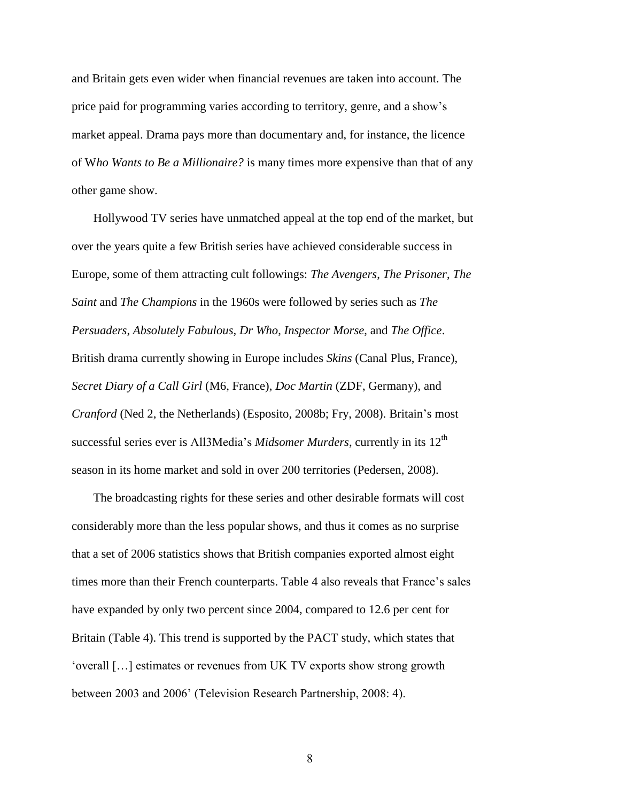and Britain gets even wider when financial revenues are taken into account. The price paid for programming varies according to territory, genre, and a show's market appeal. Drama pays more than documentary and, for instance, the licence of W*ho Wants to Be a Millionaire?* is many times more expensive than that of any other game show.

Hollywood TV series have unmatched appeal at the top end of the market, but over the years quite a few British series have achieved considerable success in Europe, some of them attracting cult followings: *The Avengers*, *The Prisoner*, *The Saint* and *The Champions* in the 1960s were followed by series such as *The Persuaders*, *Absolutely Fabulous*, *Dr Who*, *Inspector Morse*, and *The Office*. British drama currently showing in Europe includes *Skins* (Canal Plus, France), *Secret Diary of a Call Girl* (M6, France), *Doc Martin* (ZDF, Germany), and *Cranford* (Ned 2, the Netherlands) (Esposito, 2008b; Fry, 2008). Britain's most successful series ever is All3Media's *Midsomer Murders*, currently in its 12<sup>th</sup> season in its home market and sold in over 200 territories (Pedersen, 2008).

The broadcasting rights for these series and other desirable formats will cost considerably more than the less popular shows, and thus it comes as no surprise that a set of 2006 statistics shows that British companies exported almost eight times more than their French counterparts. Table 4 also reveals that France's sales have expanded by only two percent since 2004, compared to 12.6 per cent for Britain (Table 4). This trend is supported by the PACT study, which states that 'overall […] estimates or revenues from UK TV exports show strong growth between 2003 and 2006' (Television Research Partnership, 2008: 4).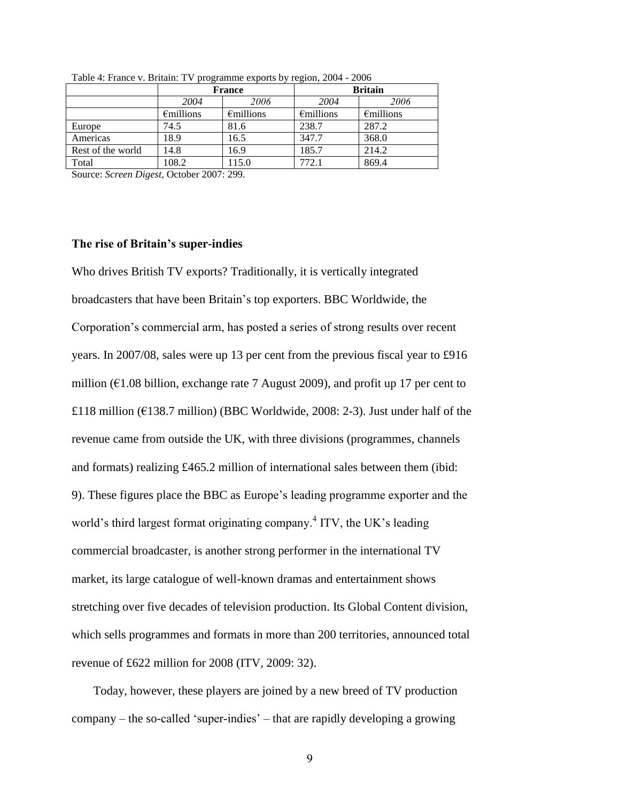|                   |                     | <b>France</b>       | <b>Britain</b>      |                     |  |  |  |
|-------------------|---------------------|---------------------|---------------------|---------------------|--|--|--|
|                   | 2004                | 2006                | 2004                | 2006                |  |  |  |
|                   | $\epsilon$ millions | $\epsilon$ millions | $\epsilon$ millions | $\epsilon$ millions |  |  |  |
| Europe            | 74.5                | 81.6                | 238.7               | 287.2               |  |  |  |
| Americas          | 18.9                | 16.5                | 347.7               | 368.0               |  |  |  |
| Rest of the world | 14.8                | 16.9                | 185.7               | 214.2               |  |  |  |
| Total             | 108.2               | 115.0               | 772.1               | 869.4               |  |  |  |
|                   |                     |                     |                     |                     |  |  |  |

Table 4: France v. Britain: TV programme exports by region, 2004 - 2006

Source: *Screen Digest*, October 2007: 299.

#### **The rise of Britain's super-indies**

Who drives British TV exports? Traditionally, it is vertically integrated broadcasters that have been Britain's top exporters. BBC Worldwide, the Corporation's commercial arm, has posted a series of strong results over recent years. In 2007/08, sales were up 13 per cent from the previous fiscal year to £916 million ( $\epsilon$ 1.08 billion, exchange rate 7 August 2009), and profit up 17 per cent to £118 million ( $E$ 138.7 million) (BBC Worldwide, 2008: 2-3). Just under half of the revenue came from outside the UK, with three divisions (programmes, channels and formats) realizing £465.2 million of international sales between them (ibid: 9). These figures place the BBC as Europe's leading programme exporter and the world's third largest format originating company.<sup>4</sup> ITV, the UK's leading commercial broadcaster, is another strong performer in the international TV market, its large catalogue of well-known dramas and entertainment shows stretching over five decades of television production. Its Global Content division, which sells programmes and formats in more than 200 territories, announced total revenue of £622 million for 2008 (ITV, 2009: 32).

Today, however, these players are joined by a new breed of TV production company – the so-called 'super-indies' – that are rapidly developing a growing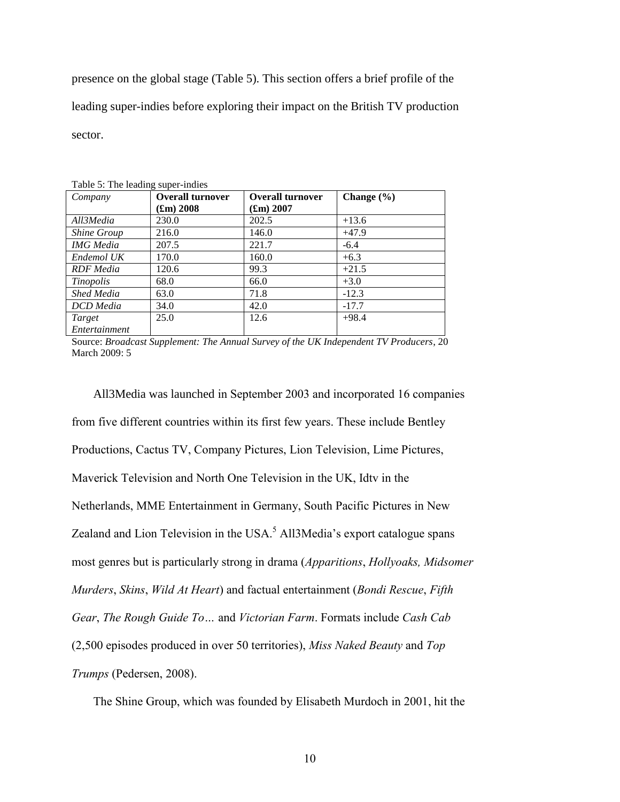presence on the global stage (Table 5). This section offers a brief profile of the leading super-indies before exploring their impact on the British TV production sector.

| Company            | <b>Overall turnover</b> | <b>Overall turnover</b> | Change $(\% )$ |
|--------------------|-------------------------|-------------------------|----------------|
|                    | $({\bf fm}) 2008$       | $(f_{\rm m}) 2007$      |                |
| All3Media          | 230.0                   | 202.5                   | $+13.6$        |
| <b>Shine Group</b> | 216.0                   | 146.0                   | $+47.9$        |
| <b>IMG</b> Media   | 207.5                   | 221.7                   | $-6.4$         |
| Endemol UK         | 170.0                   | 160.0                   | $+6.3$         |
| RDF Media          | 120.6                   | 99.3                    | $+21.5$        |
| Tinopolis          | 68.0                    | 66.0                    | $+3.0$         |
| Shed Media         | 63.0                    | 71.8                    | $-12.3$        |
| DCD Media          | 34.0                    | 42.0                    | $-17.7$        |
| Target             | 25.0                    | 12.6                    | $+98.4$        |
| Entertainment      |                         |                         |                |

 $Table 5: The leading sum or indi-$ 

Source: *Broadcast Supplement: The Annual Survey of the UK Independent TV Producers*, 20 March 2009: 5

All3Media was launched in September 2003 and incorporated 16 companies from five different countries within its first few years. These include Bentley Productions, Cactus TV, Company Pictures, Lion Television, Lime Pictures, Maverick Television and North One Television in the UK, Idtv in the Netherlands, MME Entertainment in Germany, South Pacific Pictures in New Zealand and Lion Television in the USA. $<sup>5</sup>$  All3Media's export catalogue spans</sup> most genres but is particularly strong in drama (*Apparitions*, *Hollyoaks, Midsomer Murders*, *Skins*, *Wild At Heart*) and factual entertainment (*Bondi Rescue*, *Fifth Gear*, *The Rough Guide To…* and *Victorian Farm*. Formats include *Cash Cab* (2,500 episodes produced in over 50 territories), *Miss Naked Beauty* and *Top Trumps* (Pedersen, 2008).

The Shine Group, which was founded by Elisabeth Murdoch in 2001, hit the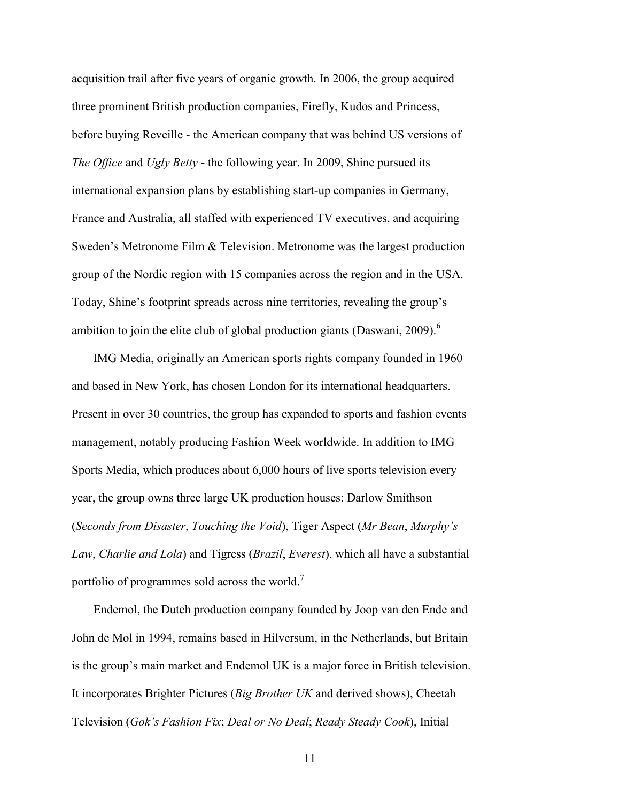acquisition trail after five years of organic growth. In 2006, the group acquired three prominent British production companies, Firefly, Kudos and Princess, before buying Reveille - the American company that was behind US versions of *The Office* and *Ugly Betty* - the following year. In 2009, Shine pursued its international expansion plans by establishing start-up companies in Germany, France and Australia, all staffed with experienced TV executives, and acquiring Sweden's Metronome Film & Television. Metronome was the largest production group of the Nordic region with 15 companies across the region and in the USA. Today, Shine's footprint spreads across nine territories, revealing the group's ambition to join the elite club of global production giants (Daswani, 2009).<sup>6</sup>

IMG Media, originally an American sports rights company founded in 1960 and based in New York, has chosen London for its international headquarters. Present in over 30 countries, the group has expanded to sports and fashion events management, notably producing Fashion Week worldwide. In addition to IMG Sports Media, which produces about 6,000 hours of live sports television every year, the group owns three large UK production houses: Darlow Smithson (*Seconds from Disaster*, *Touching the Void*), Tiger Aspect (*Mr Bean*, *Murphy's Law*, *Charlie and Lola*) and Tigress (*Brazil*, *Everest*), which all have a substantial portfolio of programmes sold across the world.<sup>7</sup>

Endemol, the Dutch production company founded by Joop van den Ende and John de Mol in 1994, remains based in Hilversum, in the Netherlands, but Britain is the group's main market and Endemol UK is a major force in British television. It incorporates Brighter Pictures (*Big Brother UK* and derived shows), Cheetah Television (*Gok's Fashion Fix*; *Deal or No Deal*; *Ready Steady Cook*), Initial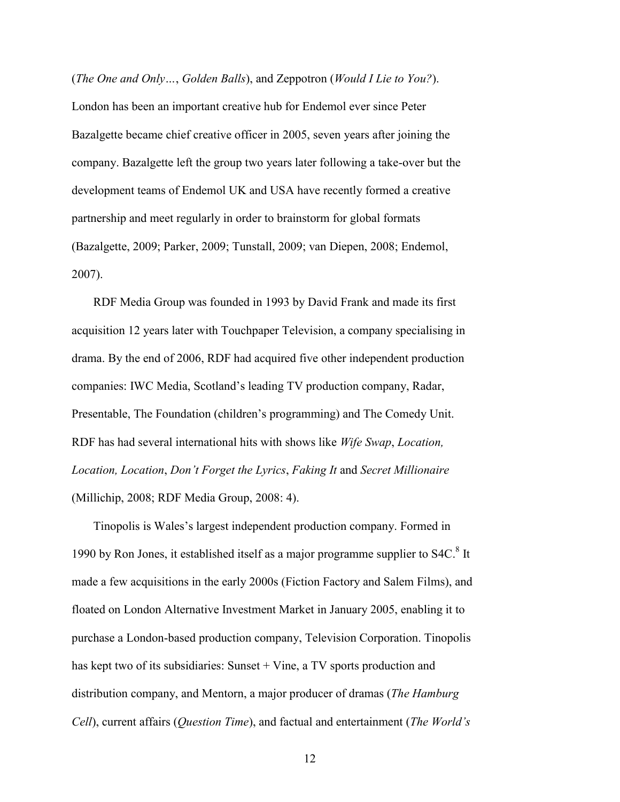(*The One and Only…*, *Golden Balls*), and Zeppotron (*Would I Lie to You?*). London has been an important creative hub for Endemol ever since Peter Bazalgette became chief creative officer in 2005, seven years after joining the company. Bazalgette left the group two years later following a take-over but the development teams of Endemol UK and USA have recently formed a creative partnership and meet regularly in order to brainstorm for global formats (Bazalgette, 2009; Parker, 2009; Tunstall, 2009; van Diepen, 2008; Endemol, 2007).

RDF Media Group was founded in 1993 by David Frank and made its first acquisition 12 years later with Touchpaper Television, a company specialising in drama. By the end of 2006, RDF had acquired five other independent production companies: IWC Media, Scotland's leading TV production company, Radar, Presentable, The Foundation (children's programming) and The Comedy Unit. RDF has had several international hits with shows like *Wife Swap*, *Location, Location, Location*, *Don't Forget the Lyrics*, *Faking It* and *Secret Millionaire* (Millichip, 2008; RDF Media Group, 2008: 4).

Tinopolis is Wales's largest independent production company. Formed in 1990 by Ron Jones, it established itself as a major programme supplier to S4C.<sup>8</sup> It made a few acquisitions in the early 2000s (Fiction Factory and Salem Films), and floated on London Alternative Investment Market in January 2005, enabling it to purchase a London-based production company, Television Corporation. Tinopolis has kept two of its subsidiaries: Sunset  $+$  Vine, a TV sports production and distribution company, and Mentorn, a major producer of dramas (*The Hamburg Cell*), current affairs (*Question Time*), and factual and entertainment (*The World's*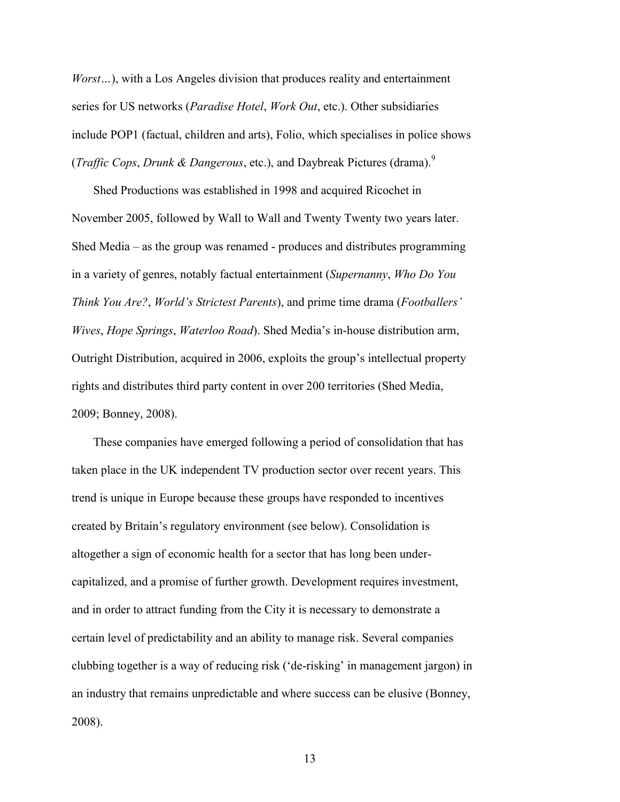*Worst…*), with a Los Angeles division that produces reality and entertainment series for US networks (*Paradise Hotel*, *Work Out*, etc.). Other subsidiaries include POP1 (factual, children and arts), Folio, which specialises in police shows (*Traffic Cops*, *Drunk & Dangerous*, etc.), and Daybreak Pictures (drama).<sup>9</sup>

Shed Productions was established in 1998 and acquired Ricochet in November 2005, followed by Wall to Wall and Twenty Twenty two years later. Shed Media – as the group was renamed - produces and distributes programming in a variety of genres, notably factual entertainment (*Supernanny*, *Who Do You Think You Are?*, *World's Strictest Parents*), and prime time drama (*Footballers' Wives*, *Hope Springs*, *Waterloo Road*). Shed Media's in-house distribution arm, Outright Distribution, acquired in 2006, exploits the group's intellectual property rights and distributes third party content in over 200 territories (Shed Media, 2009; Bonney, 2008).

These companies have emerged following a period of consolidation that has taken place in the UK independent TV production sector over recent years. This trend is unique in Europe because these groups have responded to incentives created by Britain's regulatory environment (see below). Consolidation is altogether a sign of economic health for a sector that has long been undercapitalized, and a promise of further growth. Development requires investment, and in order to attract funding from the City it is necessary to demonstrate a certain level of predictability and an ability to manage risk. Several companies clubbing together is a way of reducing risk ('de-risking' in management jargon) in an industry that remains unpredictable and where success can be elusive (Bonney, 2008).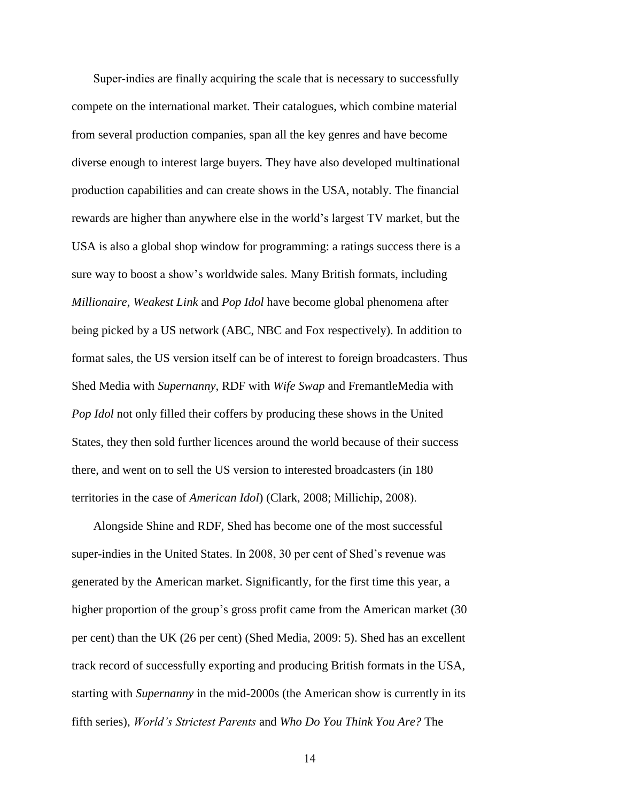Super-indies are finally acquiring the scale that is necessary to successfully compete on the international market. Their catalogues, which combine material from several production companies, span all the key genres and have become diverse enough to interest large buyers. They have also developed multinational production capabilities and can create shows in the USA, notably. The financial rewards are higher than anywhere else in the world's largest TV market, but the USA is also a global shop window for programming: a ratings success there is a sure way to boost a show's worldwide sales. Many British formats, including *Millionaire*, *Weakest Link* and *Pop Idol* have become global phenomena after being picked by a US network (ABC, NBC and Fox respectively). In addition to format sales, the US version itself can be of interest to foreign broadcasters. Thus Shed Media with *Supernanny*, RDF with *Wife Swap* and FremantleMedia with *Pop Idol* not only filled their coffers by producing these shows in the United States, they then sold further licences around the world because of their success there, and went on to sell the US version to interested broadcasters (in 180 territories in the case of *American Idol*) (Clark, 2008; Millichip, 2008).

Alongside Shine and RDF, Shed has become one of the most successful super-indies in the United States. In 2008, 30 per cent of Shed's revenue was generated by the American market. Significantly, for the first time this year, a higher proportion of the group's gross profit came from the American market (30 per cent) than the UK (26 per cent) (Shed Media, 2009: 5). Shed has an excellent track record of successfully exporting and producing British formats in the USA, starting with *Supernanny* in the mid-2000s (the American show is currently in its fifth series), *World's Strictest Parents* and *Who Do You Think You Are?* The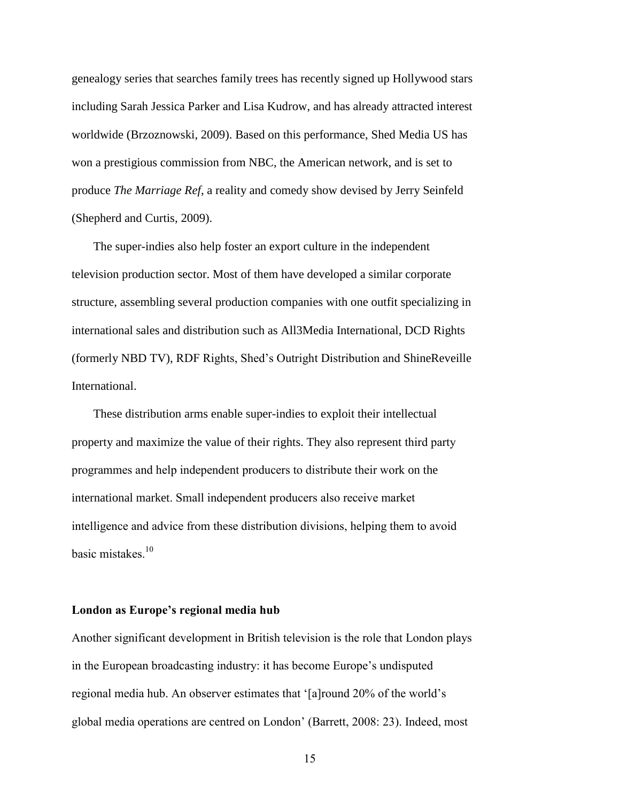genealogy series that searches family trees has recently signed up Hollywood stars including Sarah Jessica Parker and Lisa Kudrow, and has already attracted interest worldwide (Brzoznowski, 2009). Based on this performance, Shed Media US has won a prestigious commission from NBC, the American network, and is set to produce *The Marriage Ref*, a reality and comedy show devised by Jerry Seinfeld (Shepherd and Curtis, 2009).

The super-indies also help foster an export culture in the independent television production sector. Most of them have developed a similar corporate structure, assembling several production companies with one outfit specializing in international sales and distribution such as All3Media International, DCD Rights (formerly NBD TV), RDF Rights, Shed's Outright Distribution and ShineReveille International.

These distribution arms enable super-indies to exploit their intellectual property and maximize the value of their rights. They also represent third party programmes and help independent producers to distribute their work on the international market. Small independent producers also receive market intelligence and advice from these distribution divisions, helping them to avoid basic mistakes. $10$ 

#### **London as Europe's regional media hub**

Another significant development in British television is the role that London plays in the European broadcasting industry: it has become Europe's undisputed regional media hub. An observer estimates that '[a]round 20% of the world's global media operations are centred on London' (Barrett, 2008: 23). Indeed, most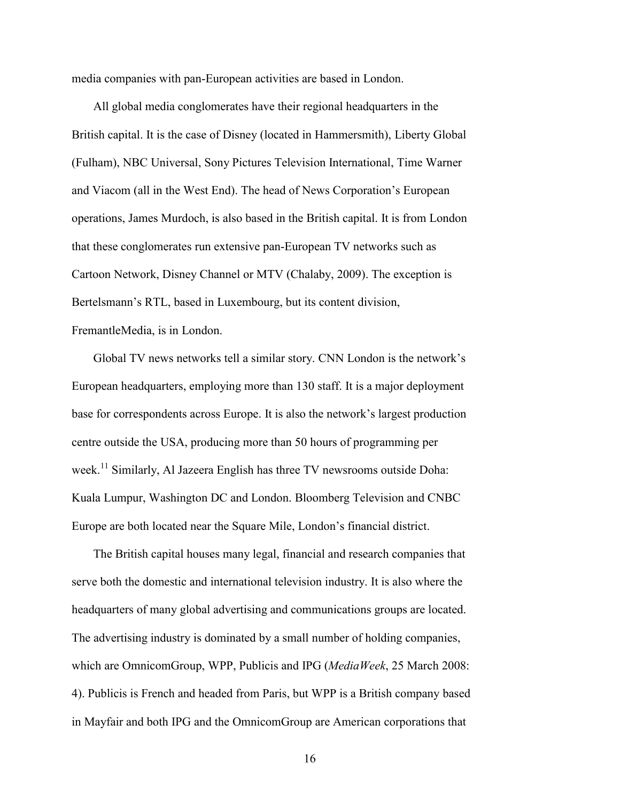media companies with pan-European activities are based in London.

All global media conglomerates have their regional headquarters in the British capital. It is the case of Disney (located in Hammersmith), Liberty Global (Fulham), NBC Universal, Sony Pictures Television International, Time Warner and Viacom (all in the West End). The head of News Corporation's European operations, James Murdoch, is also based in the British capital. It is from London that these conglomerates run extensive pan-European TV networks such as Cartoon Network, Disney Channel or MTV (Chalaby, 2009). The exception is Bertelsmann's RTL, based in Luxembourg, but its content division, FremantleMedia, is in London.

Global TV news networks tell a similar story. CNN London is the network's European headquarters, employing more than 130 staff. It is a major deployment base for correspondents across Europe. It is also the network's largest production centre outside the USA, producing more than 50 hours of programming per week.<sup>11</sup> Similarly, Al Jazeera English has three TV newsrooms outside Doha: Kuala Lumpur, Washington DC and London. Bloomberg Television and CNBC Europe are both located near the Square Mile, London's financial district.

The British capital houses many legal, financial and research companies that serve both the domestic and international television industry. It is also where the headquarters of many global advertising and communications groups are located. The advertising industry is dominated by a small number of holding companies, which are OmnicomGroup, WPP, Publicis and IPG (*MediaWeek*, 25 March 2008: 4). Publicis is French and headed from Paris, but WPP is a British company based in Mayfair and both IPG and the OmnicomGroup are American corporations that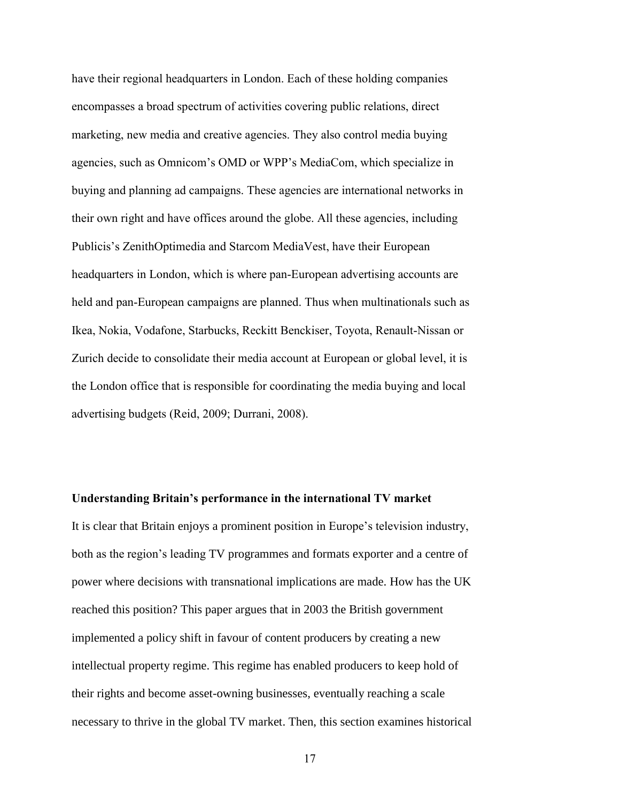have their regional headquarters in London. Each of these holding companies encompasses a broad spectrum of activities covering public relations, direct marketing, new media and creative agencies. They also control media buying agencies, such as Omnicom's OMD or WPP's MediaCom, which specialize in buying and planning ad campaigns. These agencies are international networks in their own right and have offices around the globe. All these agencies, including Publicis's ZenithOptimedia and Starcom MediaVest, have their European headquarters in London, which is where pan-European advertising accounts are held and pan-European campaigns are planned. Thus when multinationals such as Ikea, Nokia, Vodafone, Starbucks, Reckitt Benckiser, Toyota, Renault-Nissan or Zurich decide to consolidate their media account at European or global level, it is the London office that is responsible for coordinating the media buying and local advertising budgets (Reid, 2009; Durrani, 2008).

#### **Understanding Britain's performance in the international TV market**

It is clear that Britain enjoys a prominent position in Europe's television industry, both as the region's leading TV programmes and formats exporter and a centre of power where decisions with transnational implications are made. How has the UK reached this position? This paper argues that in 2003 the British government implemented a policy shift in favour of content producers by creating a new intellectual property regime. This regime has enabled producers to keep hold of their rights and become asset-owning businesses, eventually reaching a scale necessary to thrive in the global TV market. Then, this section examines historical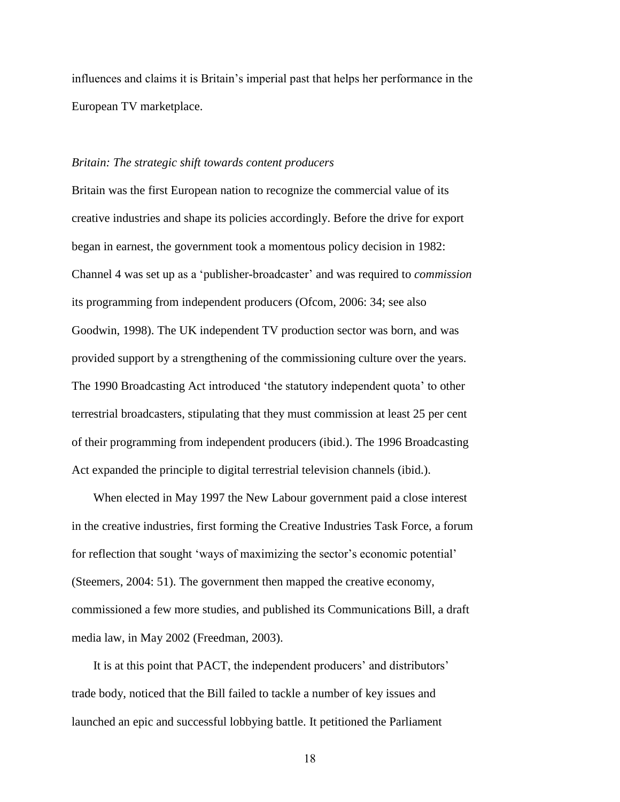influences and claims it is Britain's imperial past that helps her performance in the European TV marketplace.

#### *Britain: The strategic shift towards content producers*

Britain was the first European nation to recognize the commercial value of its creative industries and shape its policies accordingly. Before the drive for export began in earnest, the government took a momentous policy decision in 1982: Channel 4 was set up as a 'publisher-broadcaster' and was required to *commission* its programming from independent producers (Ofcom, 2006: 34; see also Goodwin, 1998). The UK independent TV production sector was born, and was provided support by a strengthening of the commissioning culture over the years. The 1990 Broadcasting Act introduced 'the statutory independent quota' to other terrestrial broadcasters, stipulating that they must commission at least 25 per cent of their programming from independent producers (ibid.). The 1996 Broadcasting Act expanded the principle to digital terrestrial television channels (ibid.).

When elected in May 1997 the New Labour government paid a close interest in the creative industries, first forming the Creative Industries Task Force, a forum for reflection that sought 'ways of maximizing the sector's economic potential' (Steemers, 2004: 51). The government then mapped the creative economy, commissioned a few more studies, and published its Communications Bill, a draft media law, in May 2002 (Freedman, 2003).

It is at this point that PACT, the independent producers' and distributors' trade body, noticed that the Bill failed to tackle a number of key issues and launched an epic and successful lobbying battle. It petitioned the Parliament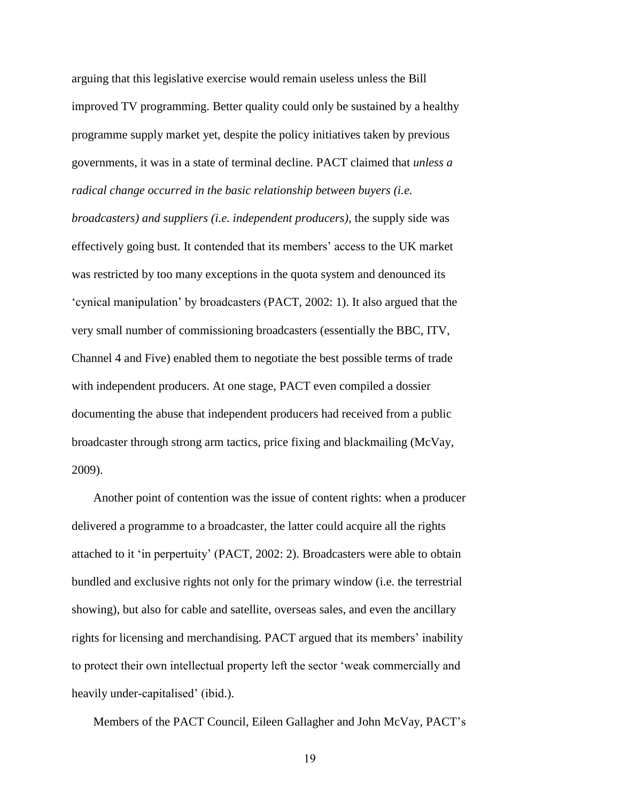arguing that this legislative exercise would remain useless unless the Bill improved TV programming. Better quality could only be sustained by a healthy programme supply market yet, despite the policy initiatives taken by previous governments, it was in a state of terminal decline. PACT claimed that *unless a radical change occurred in the basic relationship between buyers (i.e.* 

*broadcasters) and suppliers (i.e. independent producers)*, the supply side was effectively going bust. It contended that its members' access to the UK market was restricted by too many exceptions in the quota system and denounced its 'cynical manipulation' by broadcasters (PACT, 2002: 1). It also argued that the very small number of commissioning broadcasters (essentially the BBC, ITV, Channel 4 and Five) enabled them to negotiate the best possible terms of trade with independent producers. At one stage, PACT even compiled a dossier documenting the abuse that independent producers had received from a public broadcaster through strong arm tactics, price fixing and blackmailing (McVay, 2009).

Another point of contention was the issue of content rights: when a producer delivered a programme to a broadcaster, the latter could acquire all the rights attached to it 'in perpertuity' (PACT, 2002: 2). Broadcasters were able to obtain bundled and exclusive rights not only for the primary window (i.e. the terrestrial showing), but also for cable and satellite, overseas sales, and even the ancillary rights for licensing and merchandising. PACT argued that its members' inability to protect their own intellectual property left the sector 'weak commercially and heavily under-capitalised' (ibid.).

Members of the PACT Council, Eileen Gallagher and John McVay, PACT's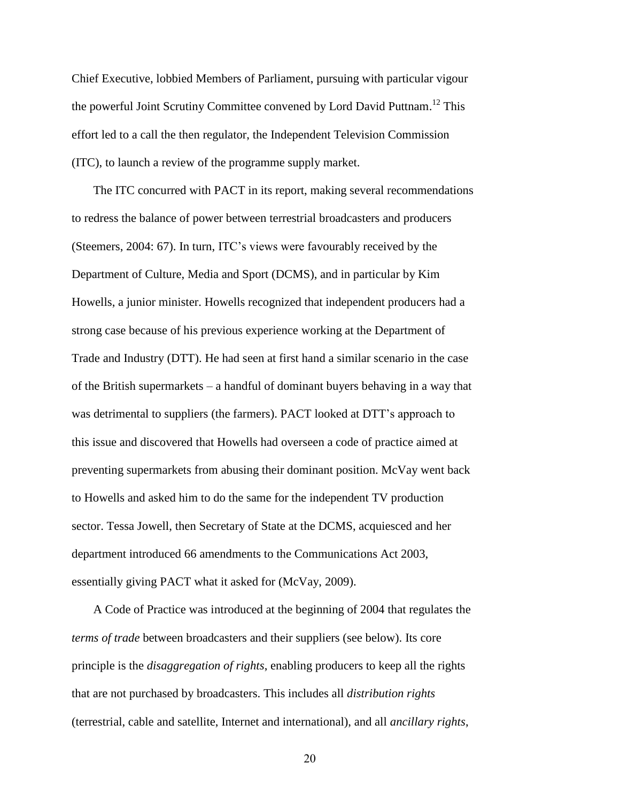Chief Executive, lobbied Members of Parliament, pursuing with particular vigour the powerful Joint Scrutiny Committee convened by Lord David Puttnam.<sup>12</sup> This effort led to a call the then regulator, the Independent Television Commission (ITC), to launch a review of the programme supply market.

The ITC concurred with PACT in its report, making several recommendations to redress the balance of power between terrestrial broadcasters and producers (Steemers, 2004: 67). In turn, ITC's views were favourably received by the Department of Culture, Media and Sport (DCMS), and in particular by Kim Howells, a junior minister. Howells recognized that independent producers had a strong case because of his previous experience working at the Department of Trade and Industry (DTT). He had seen at first hand a similar scenario in the case of the British supermarkets – a handful of dominant buyers behaving in a way that was detrimental to suppliers (the farmers). PACT looked at DTT's approach to this issue and discovered that Howells had overseen a code of practice aimed at preventing supermarkets from abusing their dominant position. McVay went back to Howells and asked him to do the same for the independent TV production sector. Tessa Jowell, then Secretary of State at the DCMS, acquiesced and her department introduced 66 amendments to the Communications Act 2003, essentially giving PACT what it asked for (McVay, 2009).

A Code of Practice was introduced at the beginning of 2004 that regulates the *terms of trade* between broadcasters and their suppliers (see below). Its core principle is the *disaggregation of rights*, enabling producers to keep all the rights that are not purchased by broadcasters. This includes all *distribution rights* (terrestrial, cable and satellite, Internet and international), and all *ancillary rights*,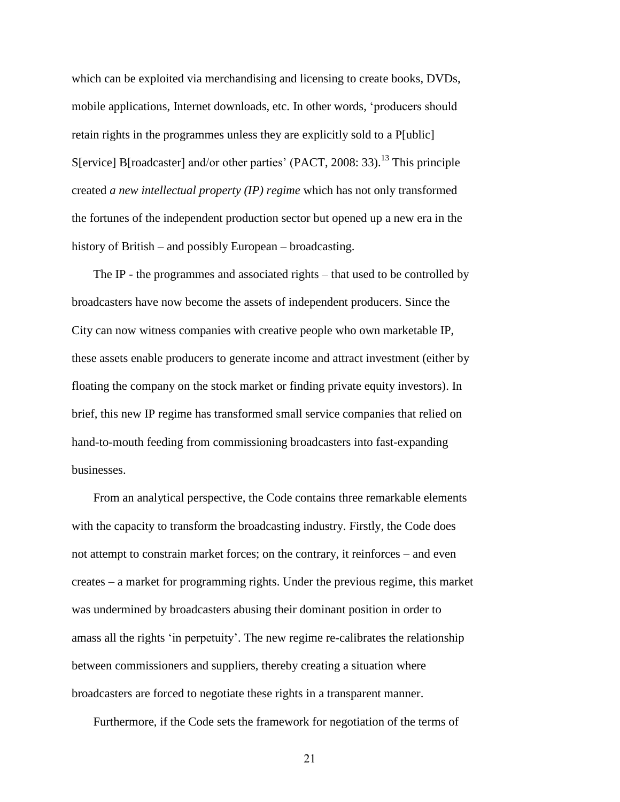which can be exploited via merchandising and licensing to create books, DVDs, mobile applications, Internet downloads, etc. In other words, 'producers should retain rights in the programmes unless they are explicitly sold to a P[ublic] S[ervice] B[roadcaster] and/or other parties' (PACT, 2008: 33).<sup>13</sup> This principle created *a new intellectual property (IP) regime* which has not only transformed the fortunes of the independent production sector but opened up a new era in the history of British – and possibly European – broadcasting.

The IP - the programmes and associated rights – that used to be controlled by broadcasters have now become the assets of independent producers. Since the City can now witness companies with creative people who own marketable IP, these assets enable producers to generate income and attract investment (either by floating the company on the stock market or finding private equity investors). In brief, this new IP regime has transformed small service companies that relied on hand-to-mouth feeding from commissioning broadcasters into fast-expanding businesses.

From an analytical perspective, the Code contains three remarkable elements with the capacity to transform the broadcasting industry. Firstly, the Code does not attempt to constrain market forces; on the contrary, it reinforces – and even creates – a market for programming rights. Under the previous regime, this market was undermined by broadcasters abusing their dominant position in order to amass all the rights 'in perpetuity'. The new regime re-calibrates the relationship between commissioners and suppliers, thereby creating a situation where broadcasters are forced to negotiate these rights in a transparent manner.

Furthermore, if the Code sets the framework for negotiation of the terms of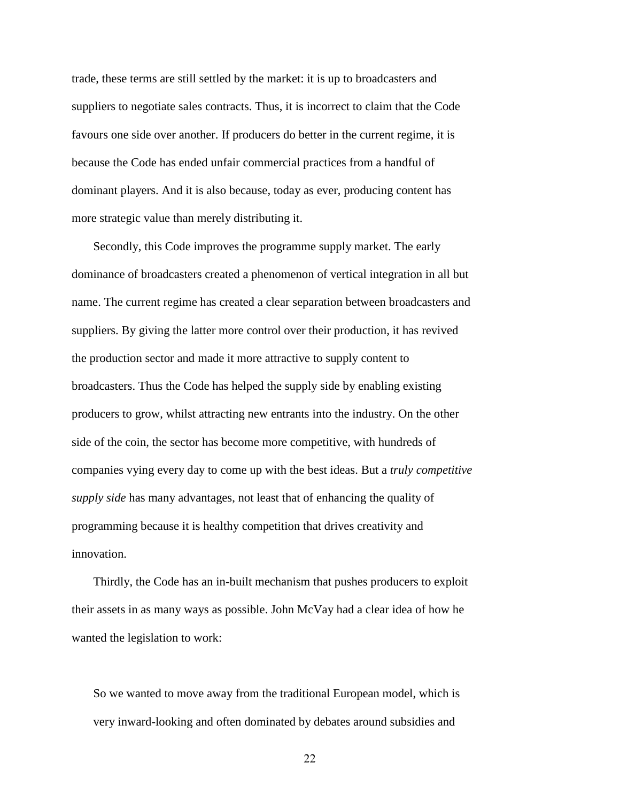trade, these terms are still settled by the market: it is up to broadcasters and suppliers to negotiate sales contracts. Thus, it is incorrect to claim that the Code favours one side over another. If producers do better in the current regime, it is because the Code has ended unfair commercial practices from a handful of dominant players. And it is also because, today as ever, producing content has more strategic value than merely distributing it.

Secondly, this Code improves the programme supply market. The early dominance of broadcasters created a phenomenon of vertical integration in all but name. The current regime has created a clear separation between broadcasters and suppliers. By giving the latter more control over their production, it has revived the production sector and made it more attractive to supply content to broadcasters. Thus the Code has helped the supply side by enabling existing producers to grow, whilst attracting new entrants into the industry. On the other side of the coin, the sector has become more competitive, with hundreds of companies vying every day to come up with the best ideas. But a *truly competitive supply side* has many advantages, not least that of enhancing the quality of programming because it is healthy competition that drives creativity and innovation.

Thirdly, the Code has an in-built mechanism that pushes producers to exploit their assets in as many ways as possible. John McVay had a clear idea of how he wanted the legislation to work:

So we wanted to move away from the traditional European model, which is very inward-looking and often dominated by debates around subsidies and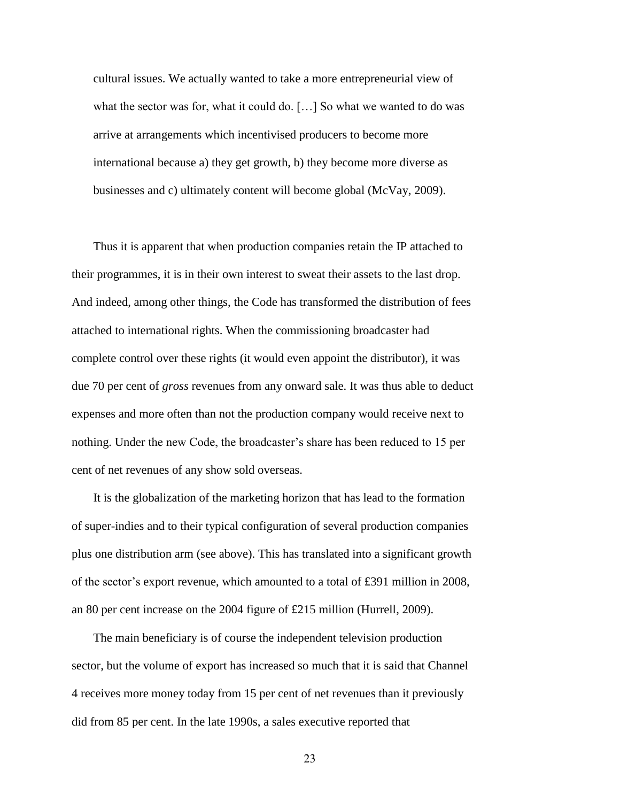cultural issues. We actually wanted to take a more entrepreneurial view of what the sector was for, what it could do. […] So what we wanted to do was arrive at arrangements which incentivised producers to become more international because a) they get growth, b) they become more diverse as businesses and c) ultimately content will become global (McVay, 2009).

Thus it is apparent that when production companies retain the IP attached to their programmes, it is in their own interest to sweat their assets to the last drop. And indeed, among other things, the Code has transformed the distribution of fees attached to international rights. When the commissioning broadcaster had complete control over these rights (it would even appoint the distributor), it was due 70 per cent of *gross* revenues from any onward sale. It was thus able to deduct expenses and more often than not the production company would receive next to nothing. Under the new Code, the broadcaster's share has been reduced to 15 per cent of net revenues of any show sold overseas.

It is the globalization of the marketing horizon that has lead to the formation of super-indies and to their typical configuration of several production companies plus one distribution arm (see above). This has translated into a significant growth of the sector's export revenue, which amounted to a total of £391 million in 2008, an 80 per cent increase on the 2004 figure of £215 million (Hurrell, 2009).

The main beneficiary is of course the independent television production sector, but the volume of export has increased so much that it is said that Channel 4 receives more money today from 15 per cent of net revenues than it previously did from 85 per cent. In the late 1990s, a sales executive reported that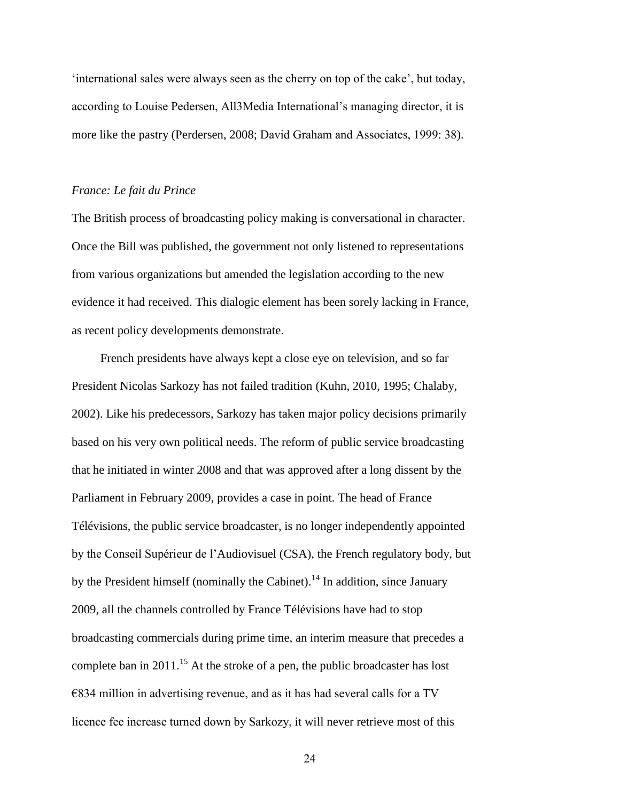'international sales were always seen as the cherry on top of the cake', but today, according to Louise Pedersen, All3Media International's managing director, it is more like the pastry (Perdersen, 2008; David Graham and Associates, 1999: 38).

#### *France: Le fait du Prince*

The British process of broadcasting policy making is conversational in character. Once the Bill was published, the government not only listened to representations from various organizations but amended the legislation according to the new evidence it had received. This dialogic element has been sorely lacking in France, as recent policy developments demonstrate.

French presidents have always kept a close eye on television, and so far President Nicolas Sarkozy has not failed tradition (Kuhn, 2010, 1995; Chalaby, 2002). Like his predecessors, Sarkozy has taken major policy decisions primarily based on his very own political needs. The reform of public service broadcasting that he initiated in winter 2008 and that was approved after a long dissent by the Parliament in February 2009, provides a case in point. The head of France Télévisions, the public service broadcaster, is no longer independently appointed by the Conseil Supérieur de l'Audiovisuel (CSA), the French regulatory body, but by the President himself (nominally the Cabinet).<sup>14</sup> In addition, since January 2009, all the channels controlled by France Télévisions have had to stop broadcasting commercials during prime time, an interim measure that precedes a complete ban in 2011.<sup>15</sup> At the stroke of a pen, the public broadcaster has lost  $€834$  million in advertising revenue, and as it has had several calls for a TV licence fee increase turned down by Sarkozy, it will never retrieve most of this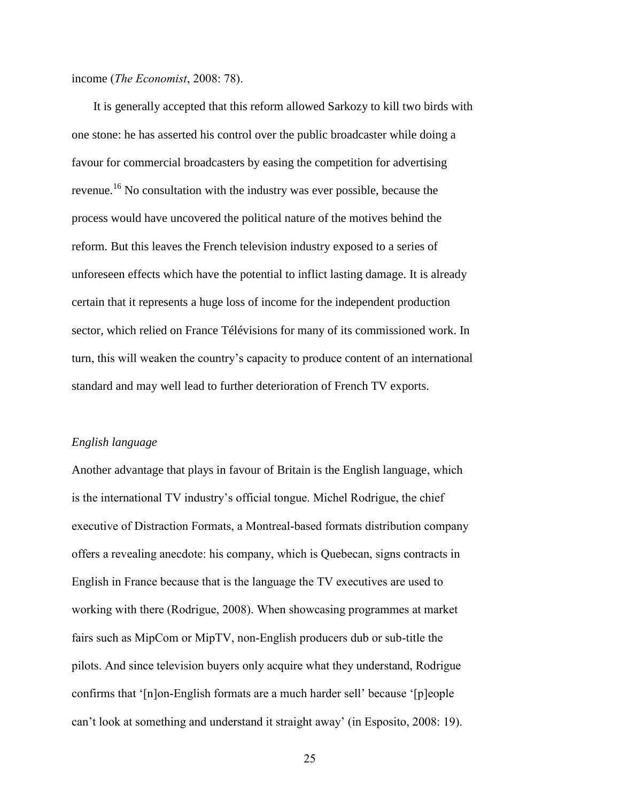income (*The Economist*, 2008: 78).

It is generally accepted that this reform allowed Sarkozy to kill two birds with one stone: he has asserted his control over the public broadcaster while doing a favour for commercial broadcasters by easing the competition for advertising revenue.<sup>16</sup> No consultation with the industry was ever possible, because the process would have uncovered the political nature of the motives behind the reform. But this leaves the French television industry exposed to a series of unforeseen effects which have the potential to inflict lasting damage. It is already certain that it represents a huge loss of income for the independent production sector, which relied on France Télévisions for many of its commissioned work. In turn, this will weaken the country's capacity to produce content of an international standard and may well lead to further deterioration of French TV exports.

#### *English language*

Another advantage that plays in favour of Britain is the English language, which is the international TV industry's official tongue. Michel Rodrigue, the chief executive of Distraction Formats, a Montreal-based formats distribution company offers a revealing anecdote: his company, which is Quebecan, signs contracts in English in France because that is the language the TV executives are used to working with there (Rodrigue, 2008). When showcasing programmes at market fairs such as MipCom or MipTV, non-English producers dub or sub-title the pilots. And since television buyers only acquire what they understand, Rodrigue confirms that '[n]on-English formats are a much harder sell' because '[p]eople can't look at something and understand it straight away' (in Esposito, 2008: 19).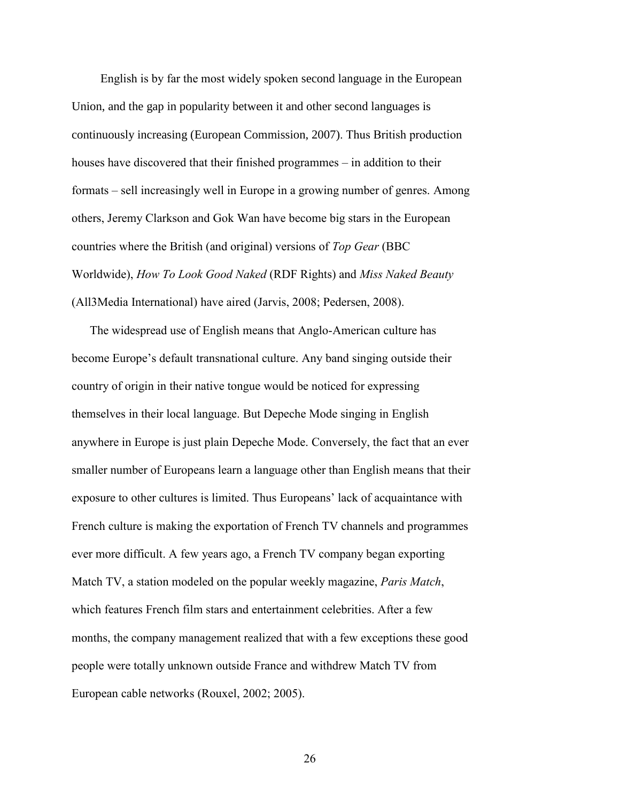English is by far the most widely spoken second language in the European Union, and the gap in popularity between it and other second languages is continuously increasing (European Commission, 2007). Thus British production houses have discovered that their finished programmes – in addition to their formats – sell increasingly well in Europe in a growing number of genres. Among others, Jeremy Clarkson and Gok Wan have become big stars in the European countries where the British (and original) versions of *Top Gear* (BBC Worldwide), *How To Look Good Naked* (RDF Rights) and *Miss Naked Beauty* (All3Media International) have aired (Jarvis, 2008; Pedersen, 2008).

The widespread use of English means that Anglo-American culture has become Europe's default transnational culture. Any band singing outside their country of origin in their native tongue would be noticed for expressing themselves in their local language. But Depeche Mode singing in English anywhere in Europe is just plain Depeche Mode. Conversely, the fact that an ever smaller number of Europeans learn a language other than English means that their exposure to other cultures is limited. Thus Europeans' lack of acquaintance with French culture is making the exportation of French TV channels and programmes ever more difficult. A few years ago, a French TV company began exporting Match TV, a station modeled on the popular weekly magazine, *Paris Match*, which features French film stars and entertainment celebrities. After a few months, the company management realized that with a few exceptions these good people were totally unknown outside France and withdrew Match TV from European cable networks (Rouxel, 2002; 2005).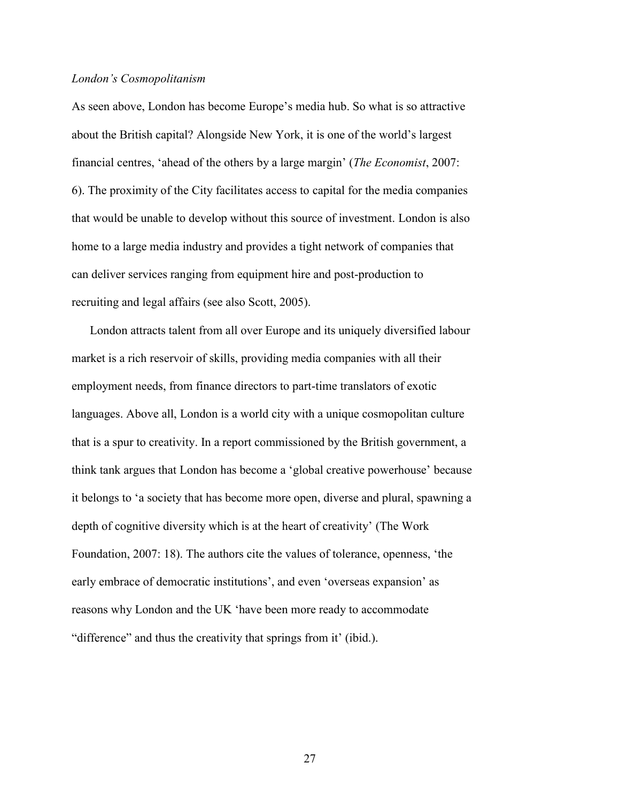#### *London's Cosmopolitanism*

As seen above, London has become Europe's media hub. So what is so attractive about the British capital? Alongside New York, it is one of the world's largest financial centres, 'ahead of the others by a large margin' (*The Economist*, 2007: 6). The proximity of the City facilitates access to capital for the media companies that would be unable to develop without this source of investment. London is also home to a large media industry and provides a tight network of companies that can deliver services ranging from equipment hire and post-production to recruiting and legal affairs (see also Scott, 2005).

London attracts talent from all over Europe and its uniquely diversified labour market is a rich reservoir of skills, providing media companies with all their employment needs, from finance directors to part-time translators of exotic languages. Above all, London is a world city with a unique cosmopolitan culture that is a spur to creativity. In a report commissioned by the British government, a think tank argues that London has become a 'global creative powerhouse' because it belongs to 'a society that has become more open, diverse and plural, spawning a depth of cognitive diversity which is at the heart of creativity' (The Work Foundation, 2007: 18). The authors cite the values of tolerance, openness, 'the early embrace of democratic institutions', and even 'overseas expansion' as reasons why London and the UK 'have been more ready to accommodate "difference" and thus the creativity that springs from it' (ibid.).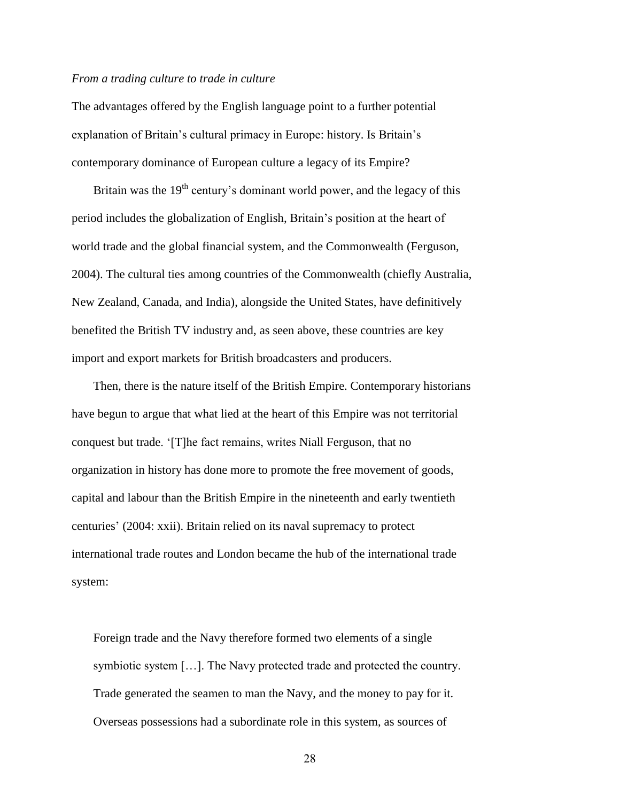#### *From a trading culture to trade in culture*

The advantages offered by the English language point to a further potential explanation of Britain's cultural primacy in Europe: history. Is Britain's contemporary dominance of European culture a legacy of its Empire?

Britain was the  $19<sup>th</sup>$  century's dominant world power, and the legacy of this period includes the globalization of English, Britain's position at the heart of world trade and the global financial system, and the Commonwealth (Ferguson, 2004). The cultural ties among countries of the Commonwealth (chiefly Australia, New Zealand, Canada, and India), alongside the United States, have definitively benefited the British TV industry and, as seen above, these countries are key import and export markets for British broadcasters and producers.

Then, there is the nature itself of the British Empire. Contemporary historians have begun to argue that what lied at the heart of this Empire was not territorial conquest but trade. '[T]he fact remains, writes Niall Ferguson, that no organization in history has done more to promote the free movement of goods, capital and labour than the British Empire in the nineteenth and early twentieth centuries' (2004: xxii). Britain relied on its naval supremacy to protect international trade routes and London became the hub of the international trade system:

Foreign trade and the Navy therefore formed two elements of a single symbiotic system […]. The Navy protected trade and protected the country. Trade generated the seamen to man the Navy, and the money to pay for it. Overseas possessions had a subordinate role in this system, as sources of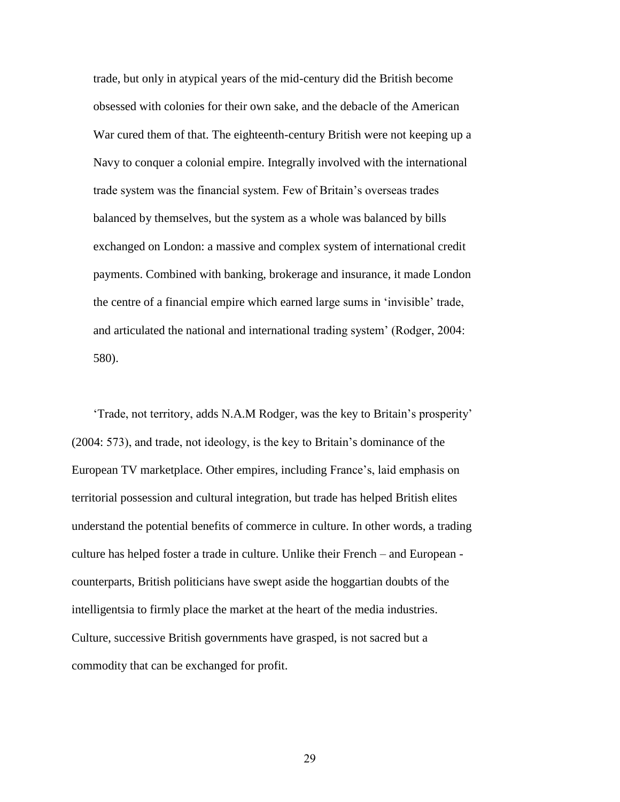trade, but only in atypical years of the mid-century did the British become obsessed with colonies for their own sake, and the debacle of the American War cured them of that. The eighteenth-century British were not keeping up a Navy to conquer a colonial empire. Integrally involved with the international trade system was the financial system. Few of Britain's overseas trades balanced by themselves, but the system as a whole was balanced by bills exchanged on London: a massive and complex system of international credit payments. Combined with banking, brokerage and insurance, it made London the centre of a financial empire which earned large sums in 'invisible' trade, and articulated the national and international trading system' (Rodger, 2004: 580).

'Trade, not territory, adds N.A.M Rodger, was the key to Britain's prosperity' (2004: 573), and trade, not ideology, is the key to Britain's dominance of the European TV marketplace. Other empires, including France's, laid emphasis on territorial possession and cultural integration, but trade has helped British elites understand the potential benefits of commerce in culture. In other words, a trading culture has helped foster a trade in culture. Unlike their French – and European counterparts, British politicians have swept aside the hoggartian doubts of the intelligentsia to firmly place the market at the heart of the media industries. Culture, successive British governments have grasped, is not sacred but a commodity that can be exchanged for profit.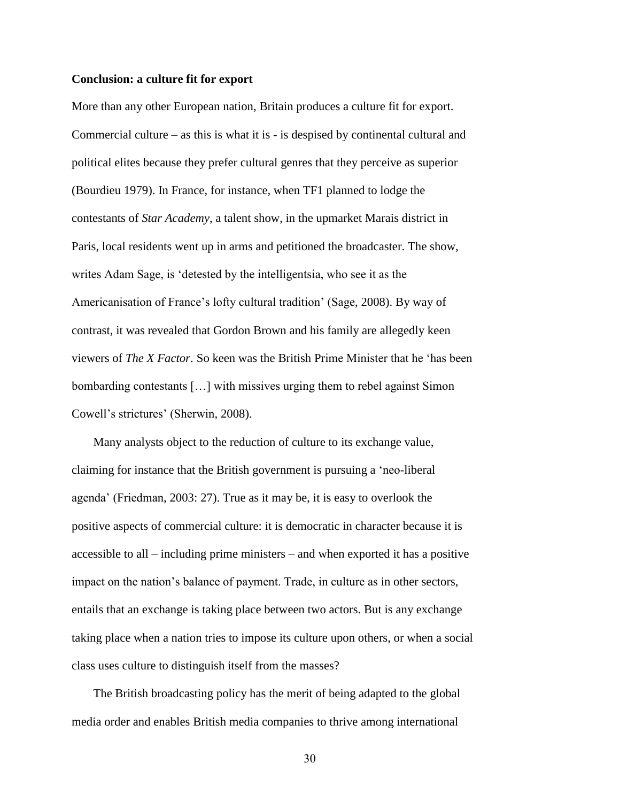#### **Conclusion: a culture fit for export**

More than any other European nation, Britain produces a culture fit for export. Commercial culture – as this is what it is - is despised by continental cultural and political elites because they prefer cultural genres that they perceive as superior (Bourdieu 1979). In France, for instance, when TF1 planned to lodge the contestants of *Star Academy*, a talent show, in the upmarket Marais district in Paris, local residents went up in arms and petitioned the broadcaster. The show, writes Adam Sage, is 'detested by the intelligentsia, who see it as the Americanisation of France's lofty cultural tradition' (Sage, 2008). By way of contrast, it was revealed that Gordon Brown and his family are allegedly keen viewers of *The X Factor*. So keen was the British Prime Minister that he 'has been bombarding contestants […] with missives urging them to rebel against Simon Cowell's strictures' (Sherwin, 2008).

Many analysts object to the reduction of culture to its exchange value, claiming for instance that the British government is pursuing a 'neo-liberal agenda' (Friedman, 2003: 27). True as it may be, it is easy to overlook the positive aspects of commercial culture: it is democratic in character because it is accessible to all – including prime ministers – and when exported it has a positive impact on the nation's balance of payment. Trade, in culture as in other sectors, entails that an exchange is taking place between two actors. But is any exchange taking place when a nation tries to impose its culture upon others, or when a social class uses culture to distinguish itself from the masses?

The British broadcasting policy has the merit of being adapted to the global media order and enables British media companies to thrive among international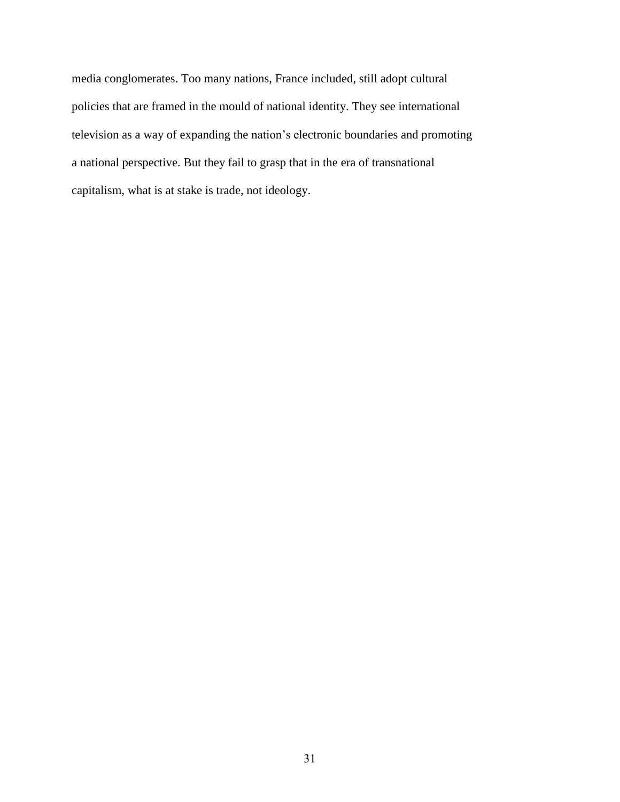media conglomerates. Too many nations, France included, still adopt cultural policies that are framed in the mould of national identity. They see international television as a way of expanding the nation's electronic boundaries and promoting a national perspective. But they fail to grasp that in the era of transnational capitalism, what is at stake is trade, not ideology.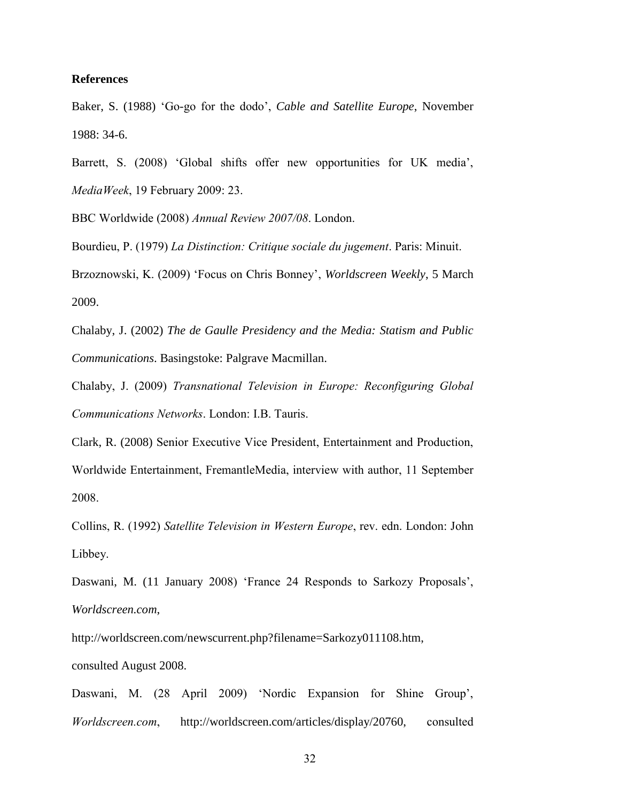#### **References**

Baker, S. (1988) 'Go-go for the dodo', *Cable and Satellite Europe*, November 1988: 34-6.

Barrett, S. (2008) 'Global shifts offer new opportunities for UK media', *MediaWeek*, 19 February 2009: 23.

BBC Worldwide (2008) *Annual Review 2007/08*. London.

Bourdieu, P. (1979) *La Distinction: Critique sociale du jugement*. Paris: Minuit. Brzoznowski, K. (2009) 'Focus on Chris Bonney', *Worldscreen Weekly*, 5 March

2009.

Chalaby, J. (2002) *The de Gaulle Presidency and the Media: Statism and Public Communications*. Basingstoke: Palgrave Macmillan.

Chalaby, J. (2009) *Transnational Television in Europe: Reconfiguring Global Communications Networks*. London: I.B. Tauris.

Clark, R. (2008) Senior Executive Vice President, Entertainment and Production, Worldwide Entertainment, FremantleMedia, interview with author, 11 September 2008.

Collins, R. (1992) *Satellite Television in Western Europe*, rev. edn. London: John Libbey.

Daswani, M. (11 January 2008) 'France 24 Responds to Sarkozy Proposals', *Worldscreen.com*,

http://worldscreen.com/newscurrent.php?filename=Sarkozy011108.htm,

consulted August 2008.

Daswani, M. (28 April 2009) 'Nordic Expansion for Shine Group', *Worldscreen.com*, http://worldscreen.com/articles/display/20760, consulted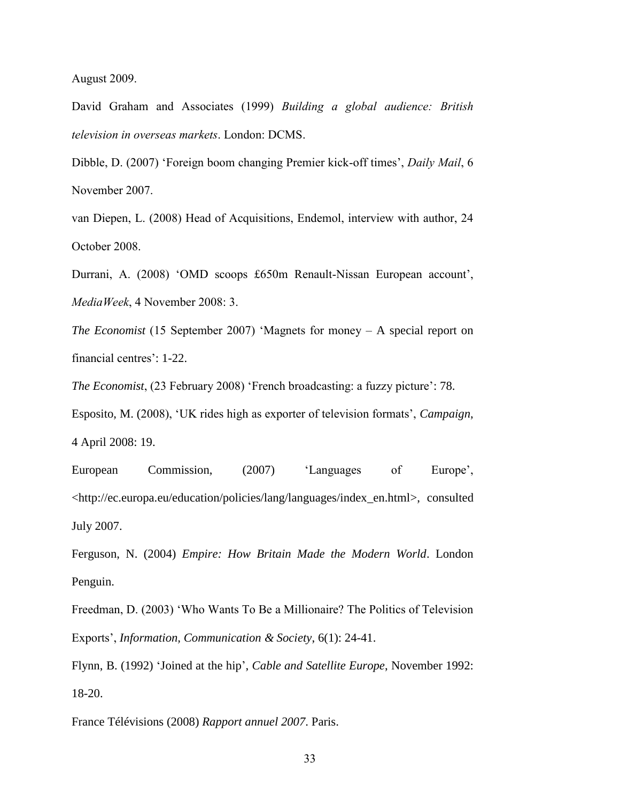August 2009.

David Graham and Associates (1999) *Building a global audience: British television in overseas markets*. London: DCMS.

Dibble, D. (2007) 'Foreign boom changing Premier kick-off times', *Daily Mail*, 6 November 2007.

van Diepen, L. (2008) Head of Acquisitions, Endemol, interview with author, 24 October 2008.

Durrani, A. (2008) 'OMD scoops £650m Renault-Nissan European account', *MediaWeek*, 4 November 2008: 3.

*The Economist* (15 September 2007) 'Magnets for money – A special report on financial centres': 1-22.

*The Economist*, (23 February 2008) 'French broadcasting: a fuzzy picture': 78.

Esposito, M. (2008), 'UK rides high as exporter of television formats', *Campaign*, 4 April 2008: 19.

European Commission, (2007) 'Languages of Europe', <http://ec.europa.eu/education/policies/lang/languages/index\_en.html>, consulted July 2007.

Ferguson, N. (2004) *Empire: How Britain Made the Modern World*. London Penguin.

Freedman, D. (2003) 'Who Wants To Be a Millionaire? The Politics of Television Exports', *Information, Communication & Society*, 6(1): 24-41.

Flynn, B. (1992) 'Joined at the hip', *Cable and Satellite Europe*, November 1992: 18-20.

France Télévisions (2008) *Rapport annuel 2007*. Paris.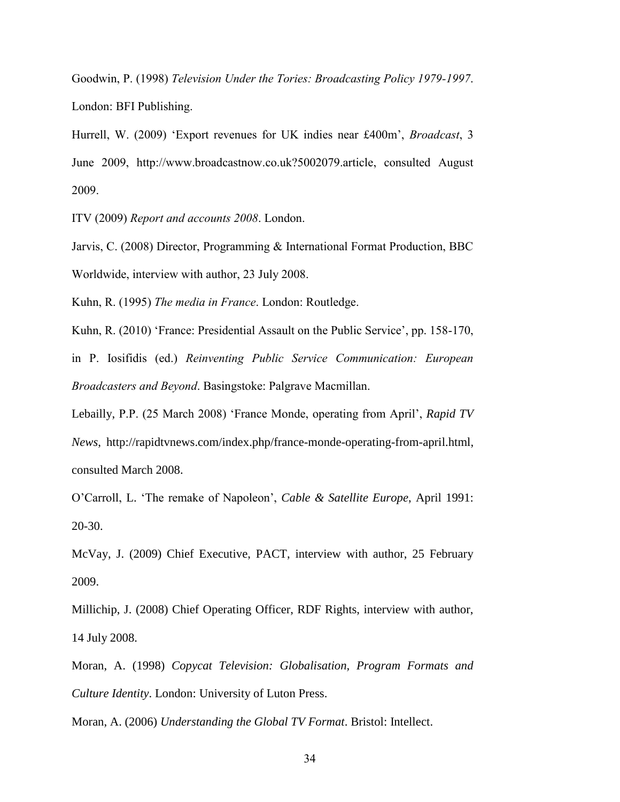Goodwin, P. (1998) *Television Under the Tories: Broadcasting Policy 1979-1997*. London: BFI Publishing.

Hurrell, W. (2009) 'Export revenues for UK indies near £400m', *Broadcast*, 3 June 2009, http://www.broadcastnow.co.uk?5002079.article, consulted August 2009.

ITV (2009) *Report and accounts 2008*. London.

Jarvis, C. (2008) Director, Programming & International Format Production, BBC Worldwide, interview with author, 23 July 2008.

Kuhn, R. (1995) *The media in France*. London: Routledge.

Kuhn, R. (2010) 'France: Presidential Assault on the Public Service', pp. 158-170,

in P. Iosifidis (ed.) *Reinventing Public Service Communication: European Broadcasters and Beyond*. Basingstoke: Palgrave Macmillan.

Lebailly, P.P. (25 March 2008) 'France Monde, operating from April', *Rapid TV News*, http://rapidtvnews.com/index.php/france-monde-operating-from-april.html, consulted March 2008.

O'Carroll, L. 'The remake of Napoleon', *Cable & Satellite Europe*, April 1991: 20-30.

McVay, J. (2009) Chief Executive, PACT, interview with author, 25 February 2009.

Millichip, J. (2008) Chief Operating Officer, RDF Rights, interview with author, 14 July 2008.

Moran, A. (1998) *Copycat Television: Globalisation, Program Formats and Culture Identity*. London: University of Luton Press.

Moran, A. (2006) *Understanding the Global TV Format*. Bristol: Intellect.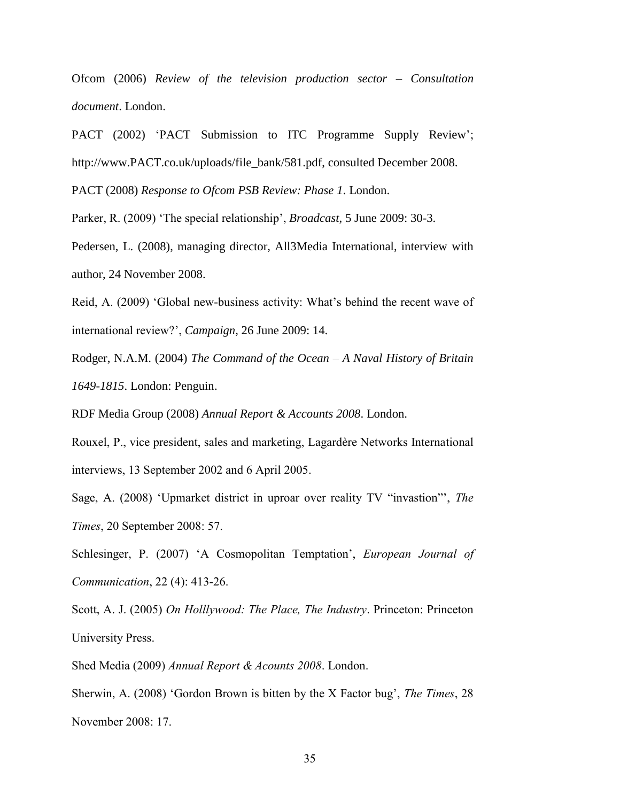Ofcom (2006) *Review of the television production sector – Consultation document*. London.

PACT (2002) 'PACT Submission to ITC Programme Supply Review'; http://www.PACT.co.uk/uploads/file\_bank/581.pdf, consulted December 2008.

PACT (2008) *Response to Ofcom PSB Review: Phase 1*. London.

Parker, R. (2009) 'The special relationship', *Broadcast*, 5 June 2009: 30-3.

Pedersen, L. (2008), managing director, All3Media International, interview with author, 24 November 2008.

Reid, A. (2009) 'Global new-business activity: What's behind the recent wave of international review?', *Campaign*, 26 June 2009: 14.

Rodger, N.A.M. (2004) *The Command of the Ocean – A Naval History of Britain 1649-1815*. London: Penguin.

RDF Media Group (2008) *Annual Report & Accounts 2008*. London.

Rouxel, P., vice president, sales and marketing, Lagardère Networks International interviews, 13 September 2002 and 6 April 2005.

Sage, A. (2008) 'Upmarket district in uproar over reality TV "invastion"', *The Times*, 20 September 2008: 57.

Schlesinger, P. (2007) 'A Cosmopolitan Temptation', *European Journal of Communication*, 22 (4): 413-26.

Scott, A. J. (2005) *On Holllywood: The Place, The Industry*. Princeton: Princeton University Press.

Shed Media (2009) *Annual Report & Acounts 2008*. London.

Sherwin, A. (2008) 'Gordon Brown is bitten by the X Factor bug', *The Times*, 28 November 2008: 17.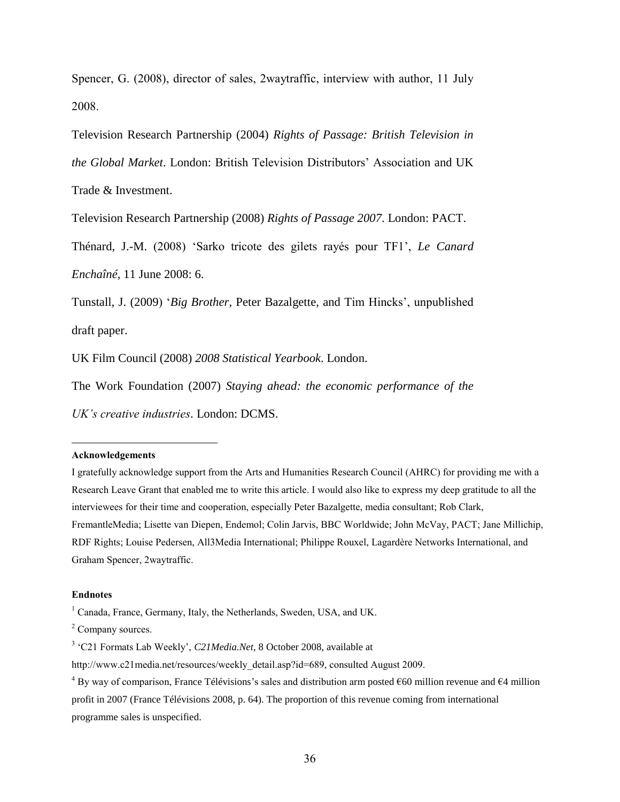Spencer, G. (2008), director of sales, 2waytraffic, interview with author, 11 July 2008.

Television Research Partnership (2004) *Rights of Passage: British Television in* 

*the Global Market*. London: British Television Distributors' Association and UK

Trade & Investment.

Television Research Partnership (2008) *Rights of Passage 2007*. London: PACT.

Thénard, J.-M. (2008) 'Sarko tricote des gilets rayés pour TF1', *Le Canard Enchaîné*, 11 June 2008: 6.

Tunstall, J. (2009) '*Big Brother*, Peter Bazalgette, and Tim Hincks', unpublished draft paper.

UK Film Council (2008) *2008 Statistical Yearbook*. London.

The Work Foundation (2007) *Staying ahead: the economic performance of the* 

*UK's creative industries*. London: DCMS.

#### **Acknowledgements**

 $\overline{a}$ 

I gratefully acknowledge support from the Arts and Humanities Research Council (AHRC) for providing me with a Research Leave Grant that enabled me to write this article. I would also like to express my deep gratitude to all the interviewees for their time and cooperation, especially Peter Bazalgette, media consultant; Rob Clark, FremantleMedia; Lisette van Diepen, Endemol; Colin Jarvis, BBC Worldwide; John McVay, PACT; Jane Millichip, RDF Rights; Louise Pedersen, All3Media International; Philippe Rouxel, Lagardère Networks International, and Graham Spencer, 2waytraffic.

#### **Endnotes**

<sup>&</sup>lt;sup>1</sup> Canada, France, Germany, Italy, the Netherlands, Sweden, USA, and UK.

<sup>&</sup>lt;sup>2</sup> Company sources.

<sup>&</sup>lt;sup>3</sup> 'C21 Formats Lab Weekly', *C21 Media.Net*, 8 October 2008, available at

http://www.c21media.net/resources/weekly\_detail.asp?id=689, consulted August 2009.

 $4 By$  way of comparison, France Télévisions's sales and distribution arm posted  $660$  million revenue and  $64$  million profit in 2007 (France Télévisions 2008, p. 64). The proportion of this revenue coming from international programme sales is unspecified.